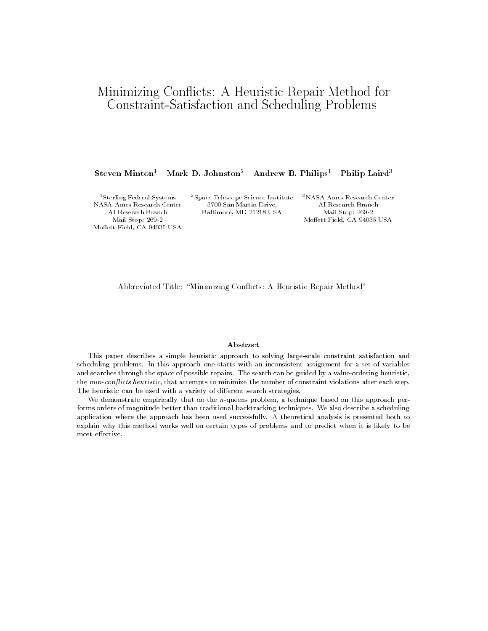# Minimizing Con-icts A Heuristic Repair Method for Constraint-Satisfaction and Scheduling Problems

 $Steven$  Minton<sup>1</sup> Johnston- Andrew B- Philips Philip Laird

 $1$ Sterling Federal Systems NASA Ames Besearch Center Mail Stop Monte Field Care and the Care and the Care and the Care and the Care and the Care and the Care and the Care and

 ${}^{2}$ Space Telescope Science Institute  ${}^{3}$ NASA Ames Research Center 3700 San Martin Drive. AI Research Branch Baltimore, MD 21218 USA

AI Besearch Branch san Martin Drive Ai Research Branch Branch Branch Branch Branch Branch Branch Branch Branch Branch Branch Branch Bra Mail Stop: 269-2 Monte Field Care and the Care and the Care and the Care and the Care and the Care and the Care and the Care and

Abbreviated Title- Minimizing Conicts- A Heuristic Repair Method

### Abstract

This paper describes a simple heuristic approach to solving large-scale constraint satisfaction and scheduling problems In this approach one starts with an inconsistent assignment for a set of variables and searches through the space of possible repairs The search can be guided byavalue-ordering heuristic the min-confirent nearlytic, that attempts to minimize the number of constraint violations after each step. The heuristic can be used with a variety of different search strategies.

we demonstrate empirically that an the n-queens problem a technique based on this approach performs orders of magnitude better than traditional backtracking techniques. We also describe a scheduling application where the approach has been used successfully A theoretical analysis is presented both to explain why this method works well on certain types of problems and to predict when it is likely to be most effective.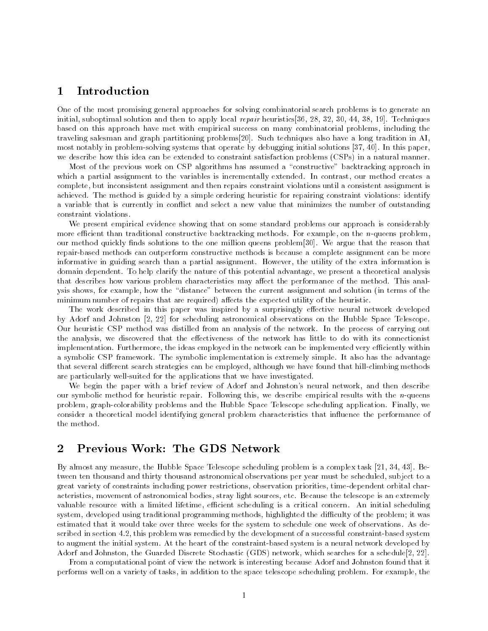### Introduction  $\mathbf 1$

One of the most promising general approaches for solving combinatorial search problems is to generate an initial suboptimal suboptimal suboptimal solution and the problem in the problem of the substitution of the substitution of the substitution of the substitution of the substitution of the substitution of the substitution o based on this approach have met with empirical success on many combinatorial problems including the traveling salesman and graph partitioning problems is also have also also a long tradition in AI, most notably in problem-solving systems that operate by debugging initial solutions [37, 40]. In this paper, we describe how this idea can be extended to constraint satisfaction problems (CSPs) in a natural manner.

Most of the previous work on CSP algorithms has assumed a "constructive" backtracking approach in which a partial assignment to the variables is incrementally extended. In contrast, our method creates a complete but inconsistent assignment and then repairs constraint violations until a consistent assignment is achieved The method is guiden by a simple construig heuristic for repairing constraint violationsa variable that is currently in conflict and select a new value that minimizes the number of outstanding constraint violations

We present empirical evidence showing that on some standard problems our approach is considerably more efficient than traditional constructive backtracking methods. For example, on the *n*-queens problem, our method quickly finds solutions to the one million queens problem  $[30]$ . We argue that the reason that repair-based methods can outperform constructive methods is because a complete assignment can be more informative in guiding search than a partial assignment. However, the utility of the extra information is domain dependent. To help clarify the nature of this potential advantage, we present a theoretical analysis that describes how various problem characteristics may affect the performance of the method. This analysis shows, for example, how the "distance" between the current assignment and solution (in terms of the minimum number of repairs that are required) affects the expected utility of the heuristic.

The work described in this paper was inspired by a surprisingly effective neural network developed , booted and Johnston <sub>1</sub>-1--1 the Hubble Space Telescope Telescope Telescope Telescope Telescope Our heuristic CSP method was distilled from an analysis of the network In the process of carrying out the analysis, we discovered that the effectiveness of the network has little to do with its connectionist implementation. Furthermore, the ideas employed in the network can be implemented very efficiently within a symbolic CSP framework. The symbolic implementation is extremely simple. It also has the advantage that several different search strategies can be employed, although we have found that hill-climbing methods are particularly well-suited for the applications that we have investigated.

We begin the paper with a brief review of Adorf and Johnston's neural network, and then describe our symbolic method for heuristic repair. Following this, we describe empirical results with the  $n$ -queens problem, graph-colorability problems and the Hubble Space Telescope scheduling application. Finally, we consider a theoretical model identifying general problem characteristics that influence the performance of the method

### $\overline{2}$ Previous Work: The GDS Network

By almost any measure the Hubble Space Telescope scheduling problem is a complex task 

 Be tween ten thousand and thirty thousand astronomical observations per year must be scheduled, subject to a great variety of constraints including power restrictions, observation priorities, time-dependent orbital characteristics, movement of astronomical bodies, stray light sources, etc. Because the telescope is an extremely valuable resource with a limited lifetime, efficient scheduling is a critical concern. An initial scheduling system, developed using traditional programming methods, highlighted the difficulty of the problem; it was estimated that it would take over three weeks for the system to schedule one week of observations As de stribed in section was remedied by the development of a successful constraint systematic constraint by the const to augment the initial system. At the heart of the constraint-based system is a neural network developed by Adorf and Johnston the Guarded Discrete Stochastic GDS network which searches for a schedule

From a computational point of view the network is interesting because Adorf and Johnston found that it performs well on a variety of tasks in addition to the space telescope scheduling problem For example the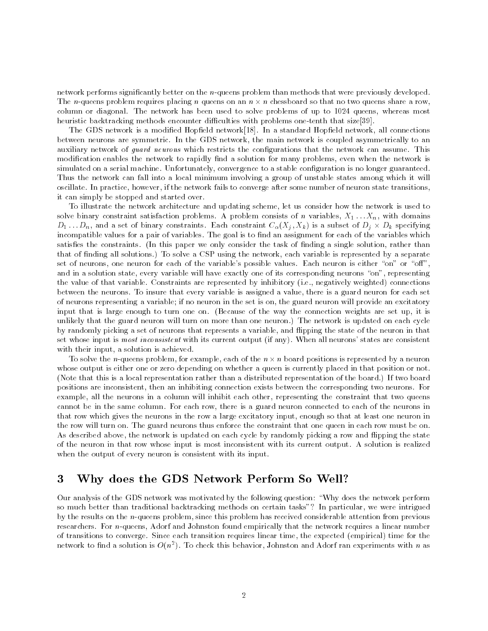network performs significantly better on the  $n$ -queens problem than methods that were previously developed. The *n*-queens problem requires placing *n* queens on an  $n \times n$  chessboard so that no two queens share a row column or diagonal The network has been used to solve problems of up to the queens where the solve heuristic backtracking methods encounter difficulties with problems one-tenth that  $size[39]$ .

The GDS network is a modified Hopfield network [18]. In a standard Hopfield network, all connections between neurons are symmetric. In the GDS network, the main network is coupled asymmetrically to an auxiliary network of *guard neurons* which restricts the configurations that the network can assume. This modification enables the network to rapidly find a solution for many problems, even when the network is simulated on a serial machine. Unfortunately, convergence to a stable configuration is no longer guaranteed. Thus the network can fall into a local minimum involving a group of unstable states among which it will oscillate. In practice, however, if the network fails to converge after some number of neuron state transitions, it can simply be stopped and started over

To illustrate the network architecture and updating scheme, let us consider how the network is used to solve binary constraint satisfaction problems A problem consists of <sup>n</sup> variables X ---Xn with domains  $D_1 \cdots D_n$ , which a set of binary constraints. Each constraint  $C_{\alpha(1)} \cdots \alpha$  we also set  $D_j \cdots D_n$  specifying incompatible values for a pair of variables. The goal is to find an assignment for each of the variables which satisfies the constraints. (In this paper we only consider the task of finding a single solution, rather than that of finding all solutions.) To solve a CSP using the network, each variable is represented by a separate set of neurons, one neuron for each of the variable's possible values. Each neuron is either "on" or "off" and in a solution state, every variable will have exactly one of its corresponding neurons "on", representing the value of that variable. Constraints are represented by inhibitory (i.e., negatively weighted) connections between the neurons. To insure that every variable is assigned a value, there is a guard neuron for each set of neurons representing a variable if no neuron in the set is on the guard neuron will provide an excitatory input that is large enough to turn one on. (Because of the way the connection weights are set up, it is unlikely that the guard neuron will turn on more than one neuron.) The network is updated on each cycle by randomly picking a set of neurons that represents a variable, and flipping the state of the neuron in that set whose input is most inconsistent with its current output (if any). When all neurons' states are consistent with their input, a solution is achieved.

To solve the *n*-queens problem, for example, each of the  $n \times n$  board positions is represented by a neuron whose output is either one or zero depending on whether a queen is currently placed in that position or not (Note that this is a local representation rather than a distributed representation of the board.) If two board positions are inconsistent, then an inhibiting connection exists between the corresponding two neurons. For example, all the neurons in a column will inhibit each other, representing the constraint that two queens cannot be in the same column. For each row, there is a guard neuron connected to each of the neurons in that row which gives the neurons in the row a large excitatory input, enough so that at least one neuron in the row will turn on. The guard neurons thus enforce the constraint that one queen in each row must be on. As described above, the network is updated on each cycle by randomly picking a row and flipping the state of the neuron in that row whose input is most inconsistent with its current output A solution is realized when the output of every neuron is consistent with its input.

### Why does the GDS Network Perform So Well 3

Our analysis of the GDS network was motivated by the following question- Why does the network perform so much better than traditional backtracking methods on certain tasks"? In particular, we were intrigued by the results on the n-queens problem, since this problem has received considerable attention from previous researchers. For n-queens, Adorf and Johnston found empirically that the network requires a linear number of transitions to converge. Since each transition requires linear time, the expected (empirical) time for the network to find a solution is  $O(n^-)$ . To check this behavior, Johnston and Adorf ran experiments with  $n$  as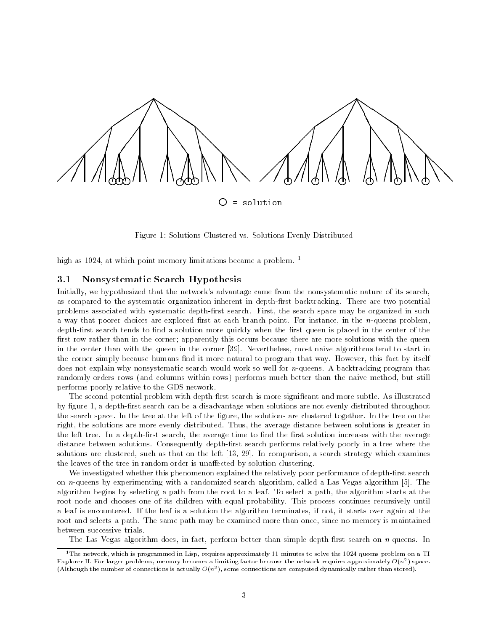

Figure - Solutions Clustered vs Solutions Evenly Distributed

nign as 1024, at which point memory limitations became a problem. The

#### Nonsystematic Search Hypothesis  $3.1$

Initially, we hypothesized that the network's advantage came from the nonsystematic nature of its search, as compared to the systematic organization inherent in depth-first backtracking. There are two potential problems associated with systematic depth-first search. First, the search space may be organized in such a way that poorer choices are explored first at each branch point. For instance, in the  $n$ -queens problem, depth-first search tends to find a solution more quickly when the first queen is placed in the center of the first row rather than in the corner; apparently this occurs because there are more solutions with the queen in the center than with the queen in the corner [39]. Nevertheless, most naive algorithms tend to start in the corner simply because humans find it more natural to program that way. However, this fact by itself does not explain why nonsystematic search would work so well for  $n$ -queens. A backtracking program that randomly orders rows (and columns within rows) performs much better than the naive method, but still performs poorly relative to the GDS network

The second potential problem with depth-first search is more significant and more subtle. As illustrated by figure 1, a depth-first search can be a disadvantage when solutions are not evenly distributed throughout the search space. In the tree at the left of the figure, the solutions are clustered together. In the tree on the right, the solutions are more evenly distributed. Thus, the average distance between solutions is greater in the left tree. In a depth-first search, the average time to find the first solution increases with the average distance between solutions. Consequently depth-first search performs relatively poorly in a tree where the solutions are clustered such as that on the left In comparison a search strategy which examines the leaves of the tree in random order is unaffected by solution clustering.

We investigated whether this phenomenon explained the relatively poor performance of depth-first search on n-queens by experimenting with a randomized search algorithm, called a Las Vegas algorithm  $[5]$ . The algorithm begins by selecting a path from the root to a leaf. To select a path, the algorithm starts at the root node and chooses one of its children with equal probability. This process continues recursively until a leaf is encountered If the leaf is a solution the algorithm terminates if not it starts over again at the root and selects a path. The same path may be examined more than once, since no memory is maintained between successive trials

The Las Vegas algorithm does, in fact, perform better than simple depth-first search on  $n$ -queens. In

 $^{\rm 1}$  The network, which is programmed in Lisp, requires approximately 11 minutes to solve the 1024 queens problem on a TI  $\scriptstyle\rm EXDI$ orer 11. For larger problems, memory becomes a limiting factor because the network requires approximately  $\cup$ ( $n^{\omega}$ ) space. (Although the number of connections is actually  $\phi(n^*$ ), some connections are computed dynamically rather than stored).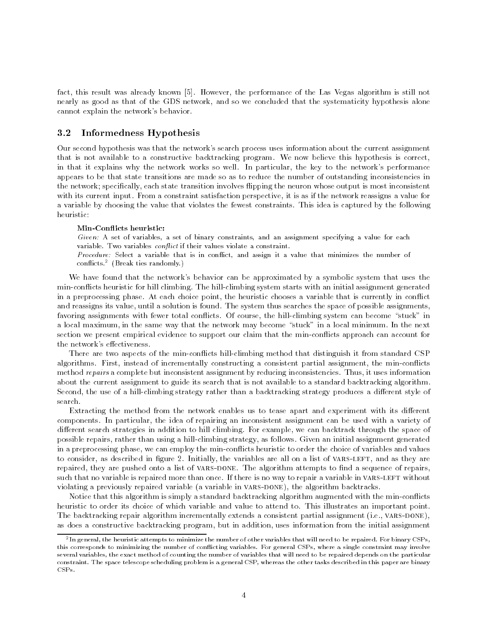fact, this result was already known [5]. However, the performance of the Las Vegas algorithm is still not nearly as good as that of the GDS network, and so we concluded that the systematicity hypothesis alone cannot explain the network's behavior.

#### 3.2 Informedness Hypothesis

Our second hypothesis was that the network's search process uses information about the current assignment that is not available to a constructive backtracking program We now believe this hypothesis is correct in that it explains why the network works so well. In particular, the key to the network's performance appears to be that state transitions are made so as to reduce the number of outstanding inconsistencies in the network; specifically, each state transition involves flipping the neuron whose output is most inconsistent with its current input. From a constraint satisfaction perspective, it is as if the network reassigns a value for a variable by choosing the value that violates the fewest constraints This idea is captured by the following heuristic:

### Min-Conflicts heuristic:

Given: A set of variables, a set of binary constraints, and an assignment specifying a value for each variable. Two variables  $conflict$  if their values violate a constraint.

Procedure: Select a variable that is in conflict, and assign it a value that minimizes the number of conflicts." (Break ties randomly.) –

We have found that the network's behavior can be approximated by a symbolic system that uses the min-conflicts heuristic for hill climbing. The hill-climbing system starts with an initial assignment generated in a preprocessing phase. At each choice point, the heuristic chooses a variable that is currently in conflict and reassigns its value, until a solution is found. The system thus searches the space of possible assignments, favoring assignments with fewer total conflicts. Of course, the hill-climbing system can become "stuck" in a local maximum, in the same way that the network may become "stuck" in a local minimum. In the next section we present empirical evidence to support our claim that the min-conflicts approach can account for the network's effectiveness.

There are two aspects of the min-conflicts hill-climbing method that distinguish it from standard CSP algorithms. First, instead of incrementally constructing a consistent partial assignment, the min-conflicts method repairs a complete but inconsistent assignment by reducing inconsistencies. Thus, it uses information about the current assignment to guide its search that is not available to a standard backtracking algorithm Second, the use of a hill-climbing strategy rather than a backtracking strategy produces a different style of

Extracting the method from the network enables us to tease apart and experiment with its different components. In particular, the idea of repairing an inconsistent assignment can be used with a variety of different search strategies in addition to hill climbing. For example, we can backtrack through the space of possible repairs, rather than using a hill-climbing strategy, as follows. Given an initial assignment generated in a preprocessing phase, we can employ the min-conflicts heuristic to order the choice of variables and values to consider as described in all on a list on and variables are variables are considered in the variables are c repaired they are pushed onto a list of viries form for algorithm attempts to like a sequence of repairs to such that no variable is repaired more than once, if there is no way to repair a variable in viriable in variable in violating a previously repaired variable (a variable in virus-both  $\mu$  vile algorithm backtracks)

Notice that this algorithm is simply a standard backtracking algorithm augmented with the min-conflicts heuristic to order its choice of which variable and value to attend to. This illustrates an important point. The backtracking repair algorithm incrementally extends a consistent partial assignment ie vars-done as does a constructive backtracking program, but in addition, uses information from the initial assignment

 $\tilde{\ }$  in general, the heuristic attempts to minimize the number of other variables that will need to be repaired. For binary CSPs, this corresponds to minimizing the number of conflicting variables. For general CSPs, where a single constraint may involve several variables the exact method of counting the number of variables that will need to be repaired depends on the particular constraint. The space telescope scheduling problem is a general CSP, whereas the other tasks described in this paper are binary CSPs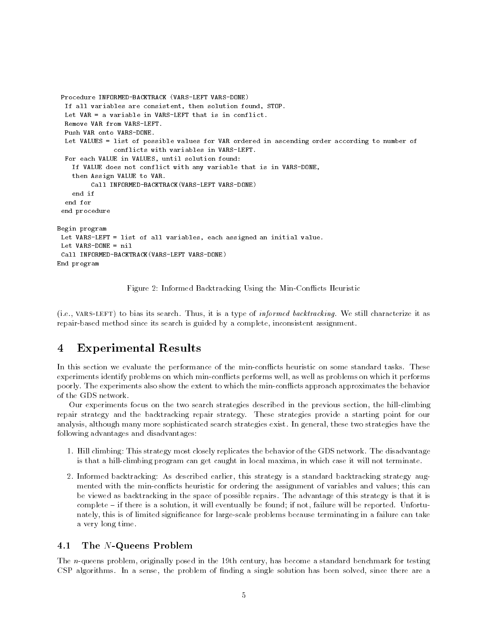```
Procedure INFORMED-
BACKTRACK VARS-
LEFT VARS-
DONE
 If all variables are consistent, then solution found, STOP.
 Let VALUES = list of possible values for VAR ordered in ascending order according to number of
 For each VALUE in VALUES, until solution found:
   If VALUE does not conflict with any variable that is in VARS-
DONE
   then Assign VALUE to VAR
        Call INFORMED-
BACKTRACKVARS-
LEFT VARS-
DONE
   end if
 end for
end procedure
Begin program
 \mathbf{L}Call INFORMED-
BACKTRACKVARS-
LEFT VARS-
DONE
End program
```
Figure - Informed Backtracking Using the MinConicts Heuristic

ie vars-left to bias its search Thus it is a type of informed backtracking We still characterize it as repair-based method since its search is guided by a complete, inconsistent assignment.

### Experimental Results  $\overline{4}$

In this section we evaluate the performance of the min-conflicts heuristic on some standard tasks. These experiments identify problems on which min-conflicts performs well, as well as problems on which it performs poorly. The experiments also show the extent to which the min-conflicts approach approximates the behavior of the GDS network

Our experiments focus on the two search strategies described in the previous section, the hill-climbing repair strategy and the backtracking repair strategy. These strategies provide a starting point for our analysis, although many more sophisticated search strategies exist. In general, these two strategies have the following advantages and disadvantages:

- Hill climbing- This strategy most closely replicates the behavior of the GDS network The disadvantage is that a hill-climbing program can get caught in local maxima, in which case it will not terminate.
- Informed backtracking- As described earlier this strategy is a standard backtracking strategy aug mented with the min-conflicts heuristic for ordering the assignment of variables and values; this can be viewed as backtracking in the space of possible repairs The advantage of this strategy is that it is complete – if there is a solution, it will eventually be found; if not, failure will be reported. Unfortunately, this is of limited significance for large-scale problems because terminating in a failure can take a very long time

#### The N-Queens Problem  $4.1$

The  $n$ -queens problem, originally posed in the 19th century, has become a standard benchmark for testing  $CSP$  algorithms. In a sense, the problem of finding a single solution has been solved, since there are a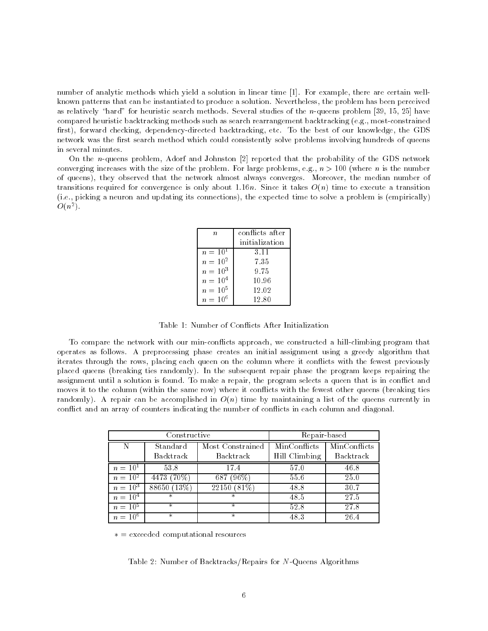number of analytic methods which yield a solution in linear time [1]. For example, there are certain wellknown patterns that can be instantiated to produce a solution Nevertheless the problem has been perceived as relatively have for heuristic search methods Several studies of the normal problem problem problem and the compared heuristic backtracking methods such as search rearrangement backtracking (e.g., most-constrained first), forward checking, dependency-directed backtracking, etc. To the best of our knowledge, the GDS network was the first search method which could consistently solve problems involving hundreds of queens in several minutes

On the notative problem and discussion and the problem  $\mathcal{C}$  is the probability of the problem  $\mathcal{C}$ converging increases with the size of the problem. For large problems, e.g.,  $n > 100$  (where n is the number of queens), they observed that the network almost always converges. Moreover, the median number of transitions required for convergence is only about -it takes on the takes of the theoretical and the transition (i.e., picking a neuron and updating its connections), the expected time to solve a problem is (empirically)  $O(n^{-})$ .

| $\boldsymbol{n}$ | conflicts after |
|------------------|-----------------|
|                  | initialization  |
| $n = 10^{1}$     | 311             |
| $n = 10^2$       | 735             |
| $n = 10^3$       | 975             |
| $n = 10^4$       | 10.96           |
| $n = 10^5$       | 12.02           |
| $n = 10^6$       | 12.80           |

To compare the network with our min-conflicts approach, we constructed a hill-climbing program that operates as follows A preprocessing phase creates an initial assignment using a greedy algorithm that iterates through the rows, placing each queen on the column where it conflicts with the fewest previously placed queens (breaking ties randomly). In the subsequent repair phase the program keeps repairing the assignment until a solution is found. To make a repair, the program selects a queen that is in conflict and moves it to the column (within the same row) where it conflicts with the fewest other queens (breaking ties randomly). A repair can be accomplished in  $O(n)$  time by maintaining a list of the queens currently in conflict and an array of counters indicating the number of conflicts in each column and diagonal.

| Constructive |                | Repair-based     |               |              |
|--------------|----------------|------------------|---------------|--------------|
| N            | Standard       | Most Constrained | MinConflicts  | MinConflicts |
|              | Backtrack      | Backtrack        | Hill Climbing | Backtrack    |
| $n = 10^{1}$ | 53.8           | 174              | 57.0          | 46.8         |
| $n = 10^2$   | 4473 (70%)     | $(96\%)$<br>687  | 55.6          | 25.0         |
| $n = 10^3$   | (13%)<br>88650 | (81%)<br>22150   | 48.8          | 30.7         |
| $n=10^4$     |                | $\ast$           | 48.5          | 27.5         |
| $n = 10^5$   | $^\ast$        | $\ast$           | 52.8          | 27.8         |
| $n = 10^6$   | $\ast$         | $\ast$           | 48.3          | 26.4         |

- exceeded computational resources

Table - Number of Backtracks!Repairs for NQueens Algorithms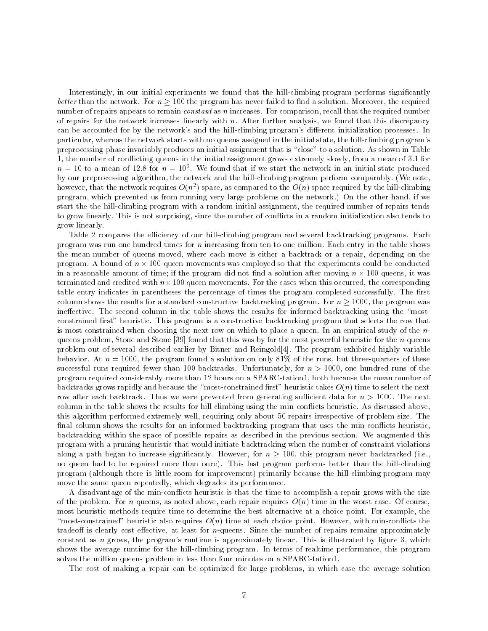Interestingly, in our initial experiments we found that the hill-climbing program performs significantly better than the network. For  $n > 100$  the program has never failed to find a solution. Moreover, the required number of repairs appears to remain *constant* as n increases. For comparison, recall that the required number of repairs for the network increases linearly with  $n$ . After further analysis, we found that this discrepancy can be accounted for by the network's and the hill-climbing program's different initialization processes. In particular, whereas the network starts with no queens assigned in the initial state, the hill-climbing program's preprocessing phase invariably produces an initial assignment that is "close" to a solution. As shown in Table 1, the number of conflicting queens in the initial assignment grows extremely slowly, from a mean of  $3.1$  for  $n = 1$ o to a mean of 12.0 for  $n = 1$ o , we found that if we start the network in an initial state produced  $\blacksquare$ by our preprocessing algorithm, the network and the hill-climbing program perform comparably. (We note, nowever, that the network requires  $O(n^-)$  space, as compared to the  $O(n)$  space required by the hill-climbing program, which prevented us from running very large problems on the network.) On the other hand, if we start the the hill-climbing program with a random initial assignment, the required number of repairs tends to grow linearly. This is not surprising, since the number of conflicts in a random initialization also tends to grow linearly

Table compares the eciency of our hillclimbing program and several backtracking programs Each program was run one hundred times for  $n$  increasing from ten to one million. Each entry in the table shows the mean number of queens moved, where each move is either a backtrack or a repair, depending on the program. A bound of  $n \times 100$  queen movements was employed so that the experiments could be conducted in a reasonable amount of time; if the program did not find a solution after moving  $n \times 100$  queens, it was terminated and credited with  $n \times 100$  queen movements. For the cases when this occurred, the corresponding table entry indicates in parentheses the percentage of times the program completed successfully. The first column shows the results for a standard constructive backtracking program. For  $n \geq 1000$ , the program was ineffective. The second column in the table shows the results for informed backtracking using the "mostconstrained first" heuristic. This program is a constructive backtracking program that selects the row that is most constrained when choosing the next row on which to place a queen. In an empirical study of the  $n$ queens problem. Stone and Stone  $[39]$  found that this was by far the most powerful heuristic for the n-queens problem out of several described earlier by Bitner and Reingold<sup>[4]</sup>. The program exhibited highly variable behavior. At  $n = 1000$ , the program found a solution on only 81% of the runs, but three-quarters of these successful runs required fewer than 100 backtracks. Unfortunately, for  $n > 1000$ , one hundred runs of the program required considerably more than hours on a SPARCstation both because the mean number of backtracks grows rapidly and because the "most-constrained first" heuristic takes  $O(n)$  time to select the next row after each backtrack. Thus we were prevented from generating sufficient data for  $n > 1000$ . The next column in the table shows the results for hill climbing using the min-conflicts heuristic. As discussed above, this algorithm performed extremely well, requiring only about 50 repairs irrespective of problem size. The final column shows the results for an informed backtracking program that uses the min-conflicts heuristic, backtracking within the space of possible repairs as described in the previous section We augmented this program with a pruning heuristic that would initiate backtracking when the number of constraint violations along a path began to increase significantly. However, for  $n \geq 100$ , this program never backtracked (i.e. no queen had to be repaired more than once). This last program performs better than the hill-climbing program (although there is little room for improvement) primarily because the hill-climbing program may move the same queen repeatedly, which degrades its performance.

A disadvantage of the min-conflicts heuristic is that the time to accomplish a repair grows with the size of the problem. For *n*-queens, as noted above, each repair requires  $O(n)$  time in the worst case. Of course. most heuristic methods require time to determine the best alternative at a choice point. For example, the "most-constrained" heuristic also requires  $O(n)$  time at each choice point. However, with min-conflicts the tradeoff is clearly cost effective, at least for *n*-queens. Since the number of repairs remains approximately constant as n grows, the program's runtime is approximately linear. This is illustrated by figure  $3$ , which shows the average runtime for the hill-climbing program. In terms of realtime performance, this program solves the million queens problem in less than four minutes on a SPARC station 1.

The cost of making a repair can be optimized for large problems, in which case the average solution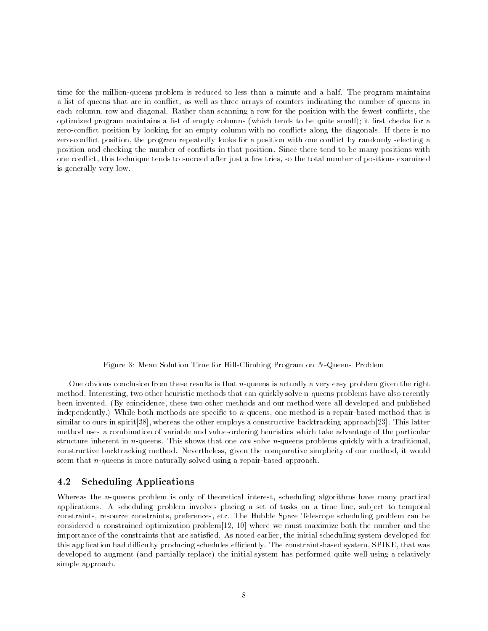time for the million-queens problem is reduced to less than a minute and a half. The program maintains a list of queens that are in conflict, as well as three arrays of counters indicating the number of queens in each column, row and diagonal. Rather than scanning a row for the position with the fewest conflicts, the optimized program maintains a list of empty columns (which tends to be quite small); it first checks for a zero-conflict position by looking for an empty column with no conflicts along the diagonals. If there is no zero-conflict position, the program repeatedly looks for a position with one conflict by randomly selecting a position and checking the number of conflicts in that position. Since there tend to be many positions with one conflict, this technique tends to succeed after just a few tries, so the total number of positions examined is generally very low

One obvious conclusion from these results is that  $n$ -queens is actually a very easy problem given the right method. Interesting, two other heuristic methods that can quickly solve n-queens problems have also recently been invented. (By coincidence, these two other methods and our method were all developed and published independently.) While both methods are specific to  $n$ -queens, one method is a repair-based method that is similar to ours in spirit whereas the other employs a constructive backtracking spproach, which is latter method uses a combination of variable and value-ordering heuristics which take advantage of the particular structure inherent in n-queens. This shows that one can solve n-queens problems quickly with a traditional, constructive backtracking method. Nevertheless, given the comparative simplicity of our method, it would seem that  $n$ -queens is more naturally solved using a repair-based approach.

#### 4.2 Scheduling Applications

Whereas the *n*-queens problem is only of theoretical interest, scheduling algorithms have many practical applications. A scheduling problem involves placing a set of tasks on a time line, subject to temporal constraints, resource constraints, preferences, etc. The Hubble Space Telescope scheduling problem can be considered a constraint optimization problems and the number we must make the number and the number  $\cdots$ importance of the constraints that are satisfied. As noted earlier, the initial scheduling system developed for this application had difficulty producing schedules efficiently. The constraint-based system, SPIKE, that was developed to augment (and partially replace) the initial system has performed quite well using a relatively simple approach.

Figure - Mean Solution Time for HillClimbing Program on NQueens Problem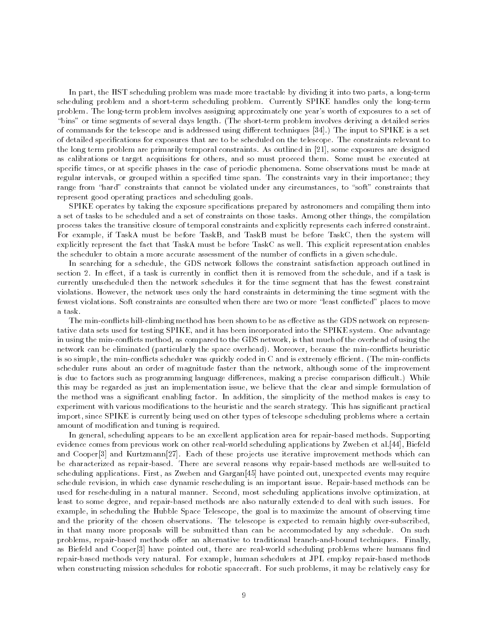In part, the HST scheduling problem was made more tractable by dividing it into two parts, a long-term scheduling problem and a short-term scheduling problem. Currently SPIKE handles only the long-term problem. The long-term problem involves assigning approximately one year's worth of exposures to a set of "bins" or time segments of several days length. (The short-term problem involves deriving a detailed series of commands for the telescope and is addressed using different techniques [34].) The input to SPIKE is a set of detailed specifications for exposures that are to be scheduled on the telescope. The constraints relevant to the long term problem are primarily temporal constraints As outlined in some exposures are designed as calibrations or target acquisitions for others, and so must proceed them. Some must be executed at specific times, or at specific phases in the case of periodic phenomena. Some observations must be made at regular intervals, or grouped within a specified time span. The constraints vary in their importance; they range from "hard" constraints that cannot be violated under any circumstances, to "soft" constraints that represent good operating practices and scheduling goals

SPIKE operates by taking the exposure specifications prepared by astronomers and compiling them into a set of tasks to be scheduled and a set of constraints on those tasks Among other things the compilation process takes the transitive closure of temporal constraints and explicitly represents each inferred constraint For example, if TaskA must be before TaskB, and TaskB must be before TaskC, then the system will explicitly represent the fact that TaskA must be before TaskC as well This explicit representation enables the scheduler to obtain a more accurate assessment of the number of conflicts in a given schedule.

In searching for a schedule, the GDS network follows the constraint satisfaction approach outlined in section and in each interval task is currently in contract the schedule and if a task is removed from the schedule and if a task is removed from the schedule and if a task is removed from the schedule and if a task is remo currently unscheduled then the network schedules it for the time segment that has the fewest constraint violations. However, the network uses only the hard constraints in determining the time segment with the fewest violations. Soft constraints are consulted when there are two or more "least conflicted" places to move a task

The min-conflicts hill-climbing method has been shown to be as effective as the GDS network on representative data sets used for testing SPIKE and it has been incorporated into the SPIKE system One advantage in using the min-conflicts method, as compared to the GDS network, is that much of the overhead of using the network can be eliminated (particularly the space overhead). Moreover, because the min-conflicts heuristic is so simple, the min-conflicts scheduler was quickly coded in C and is extremely efficient. (The min-conflicts scheduler runs about an order of magnitude faster than the network although some of the improvement is due to factors such as programming language differences, making a precise comparison difficult.) While this may be regarded as just an implementation issue, we believe that the clear and simple formulation of the method was a signicant enabling factor In addition the simplicity of the method makes is easy to experiment with various modifications to the heuristic and the search strategy. This has significant practical import, since SPIKE is currently being used on other types of telescope scheduling problems where a certain amount of modification and tuning is required.

In general, scheduling appears to be an excellent application area for repair-based methods. Supporting evidence comes from previous work on other real-world scheduling applications by Zweben et al.[44], Biefeld and Cooper and Kurtzmann Each of these projects use iterative improvement methods which can be characterized as repair-based. There are several reasons why repair-based methods are well-suited to scheduling applications. First, as Zweben and Gargan<sup>[45]</sup> have pointed out, unexpected events may require schedule revision, in which case dynamic rescheduling is an important issue. Repair-based methods can be used for rescheduling in a natural manner. Second, most scheduling applications involve optimization, at least to some degree, and repair-based methods are also naturally extended to deal with such issues. For example, in scheduling the Hubble Space Telescope, the goal is to maximize the amount of observing time and the priority of the chosen observations. The telescope is expected to remain highly over-subscribed, in that many more proposals will be submitted than can be accommodated by any schedule. On such problems, repair-based methods offer an alternative to traditional branch-and-bound techniques. Finally, as Biefeld and Cooper<sup>[3]</sup> have pointed out, there are real-world scheduling problems where humans find repair-based methods very natural. For example, human schedulers at JPL employ repair-based methods when constructing mission schedules for robotic spacecraft. For such problems, it may be relatively easy for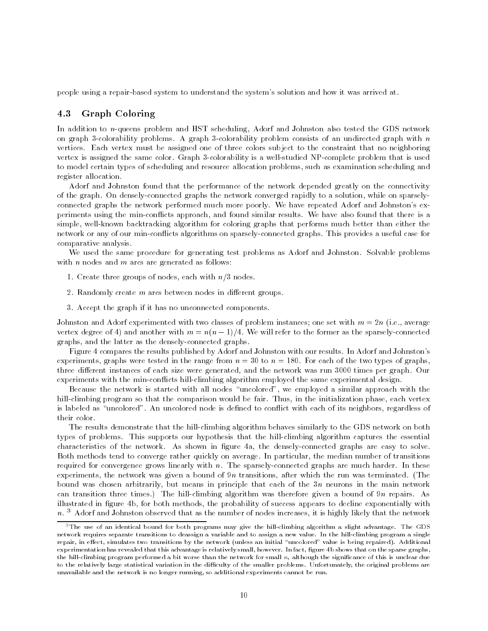people using a repair-based system to understand the system's solution and how it was arrived at.

#### 4.3 Graph Coloring

In addition to n-queens problem and HST scheduling, Adorf and Johnston also tested the GDS network on graph 3-colorability problems. A graph 3-colorability problem consists of an undirected graph with  $n$ vertices Each vertex must be assigned one of three colors subject to the constraint that no neighboring vertex is assigned the same color. Graph 3-colorability is a well-studied NP-complete problem that is used to model certain types of scheduling and resource allocation problems such as examination scheduling and register allocation

Adorf and Johnston found that the performance of the network depended greatly on the connectivity of the graph. On densely-connected graphs the network converged rapidly to a solution, while on sparselyconnected graphs the network performed much more poorly. We have repeated Adorf and Johnston's experiments using the min-conflicts approach, and found similar results. We have also found that there is a simple, well-known backtracking algorithm for coloring graphs that performs much better than either the network or any of our min-conflicts algorithms on sparsely-connected graphs. This provides a useful case for comparative analysis

We used the same procedure for generating test problems as Adorf and Johnston. Solvable problems with  $n$  nodes and  $m$  arcs are generated as follows:

- 1. Create three groups of nodes, each with  $n/3$  nodes.
- Randomly create <sup>m</sup> arcs between nodes in dierent groups
- Accept the graph if it has no unconnected components

Johnston and Adorf experimented with two classes of problem instances one set with <sup>m</sup> <sup>n</sup> ie average vertex degree of 4) and another with  $m = n(n-1)/4$ . We will refer to the former as the sparsely-connected graphs, and the latter as the densely-connected graphs.

Figure 4 compares the results published by Adorf and Johnston with our results. In Adorf and Johnston's experiments, graphs were tested in the range from  $n = 30$  to  $n = 180$ . For each of the two types of graphs, three different instances of each size were generated, and the network was run 3000 times per graph. Our experiments with the min-conflicts hill-climbing algorithm employed the same experimental design.

Because the network is started with all nodes "uncolored", we employed a similar approach with the hill-climbing program so that the comparison would be fair. Thus, in the initialization phase, each vertex is labeled as "uncolored". An uncolored node is defined to conflict with each of its neighbors, regardless of their color

The results demonstrate that the hill-climbing algorithm behaves similarly to the GDS network on both types of problems. This supports our hypothesis that the hill-climbing algorithm captures the essential characteristics of the network. As shown in figure 4a, the densely-connected graphs are easy to solve. Both methods tend to converge rather quickly on average. In particular, the median number of transitions required for convergence grows linearly with n. The sparsely-connected graphs are much harder. In these experiments, the network was given a bound of  $9n$  transitions, after which the run was terminated. (The bound was chosen arbitrarily, but means in principle that each of the  $3n$  neurons in the main network can transition three times.) The hill-climbing algorithm was therefore given a bound of  $9n$  repairs. As illustrated in figure 4b, for both methods, the probability of success appears to decline exponentially with  $n<sup>3</sup>$  Adorf and Johnston observed that as the number of nodes increases, it is highly likely that the network

 $^3$ The use of an identical bound for both programs may give the hill-climbing algorithm a slight advantage. The GDS network requires separate transitions to deassign a variable and to assign a new value. In the hill-climbing program a single repair, in effect, simulates two transitions by the network (unless an initial "uncolored" value is being repaired). Additional experimentation has revealed that this advantage is relatively small, however. In fact, figure 4b shows that on the sparse graphs, the hill-climbing program performed a bit worse than the network for small  $n$ , although the significance of this is unclear due to the relatively large statistical variation in the difficulty of the smaller problems. Unfortunately, the original problems are unavailable and the network is no longer running, so additional experiments cannot be run.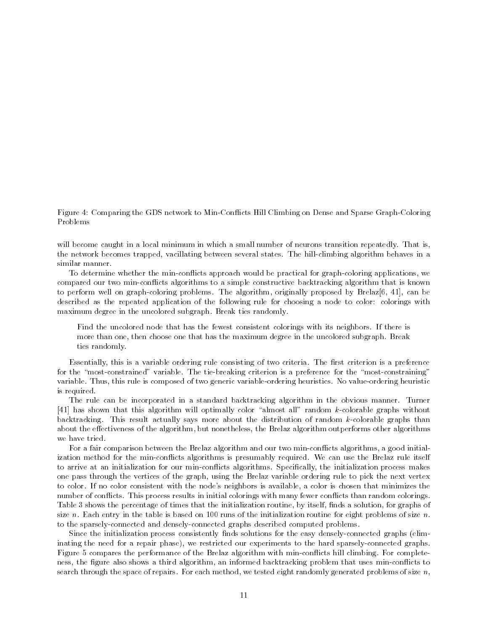Figure 
- Comparing the GDS network to MinConicts Hill Climbing on Dense and Sparse GraphColoring Problems

will become caught in a local minimum in which a small number of neurons transition repeatedly. That is, the network becomes trapped, vacillating between several states. The hill-climbing algorithm behaves in a similar manner

To determine whether the min-conflicts approach would be practical for graph-coloring applications, we compared our two min-conflicts algorithms to a simple constructive backtracking algorithm that is known to perform well on graph-coloring problems. The algorithm, originally proposed by Brelaz $[6, 41]$ , can be described as the repeated application of the following rule for choosing a node to color- colorings with maximum degree in the uncolored subgraph. Break ties randomly.

Find the uncolored node that has the fewest consistent colorings with its neighbors. If there is more than one, then choose one that has the maximum degree in the uncolored subgraph. Break ties randomly

Essentially, this is a variable ordering rule consisting of two criteria. The first criterion is a preference for the "most-constrained" variable. The tie-breaking criterion is a preference for the "most-constraining" variable. Thus, this rule is composed of two generic variable-ordering heuristics. No value-ordering heuristic is required

The rule can be incorporated in a standard backtracking algorithm in the obvious manner. Turner [41] has shown that this algorithm will optimally color "almost all" random  $k$ -colorable graphs without backtracking. This result actually says more about the distribution of random  $k$ -colorable graphs than about the effectiveness of the algorithm, but nonetheless, the Brelaz algorithm outperforms other algorithms

For a fair comparison between the Brelaz algorithm and our two min-conflicts algorithms, a good initialization method for the min-conflicts algorithms is presumably required. We can use the Brelaz rule itself to arrive at an initialization for our min-conflicts algorithms. Specifically, the initialization process makes one pass through the vertices of the graph, using the Brelaz variable ordering rule to pick the next vertex to color. If no color consistent with the node's neighbors is available, a color is chosen that minimizes the number of conflicts. This process results in initial colorings with many fewer conflicts than random colorings. Table 3 shows the percentage of times that the initialization routine, by itself, finds a solution, for graphs of size  $n$ . Each entry in the table is based on 100 runs of the initialization routine for eight problems of size  $n$ . to the sparsely-connected and densely-connected graphs described computed problems.

Since the initialization process consistently finds solutions for the easy densely-connected graphs (eliminating the need for a repair phase), we restricted our experiments to the hard sparsely-connected graphs. Figure 5 compares the performance of the Brelaz algorithm with min-conflicts hill climbing. For completeness, the figure also shows a third algorithm, an informed backtracking problem that uses min-conflicts to search through the space of repairs. For each method, we tested eight randomly generated problems of size  $n$ .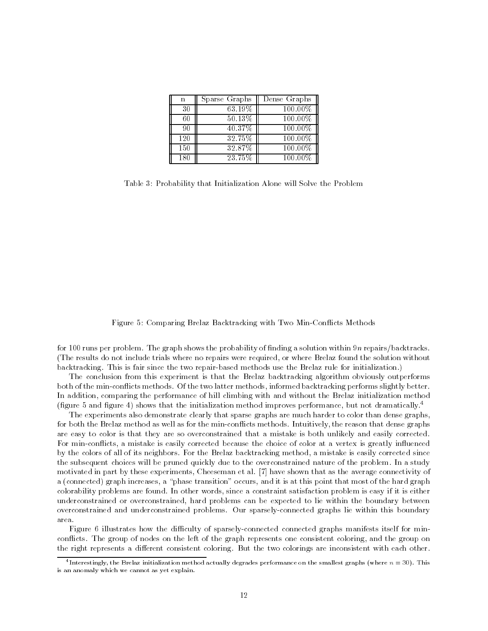| n   | Sparse Graphs | Dense Graphs |
|-----|---------------|--------------|
| 30  | 63.19%        | 100.00%      |
| 60  | 50.13%        | 100.00%      |
| 90  | 40.37%        | 100.00%      |
| 120 | 32.75%        | 100.00%      |
| 150 | 32.87%        | 100.00%      |
| 180 | 23.75%        | $100.00\%$   |

Table - Problem - Problem - Problem - Problem - Problem - Problem - Problem - Problem - Problem - Problem - Pro

Figure - Comparing Brelaz Backtracking with Two MinConicts Methods

for 100 runs per problem. The graph shows the probability of finding a solution within  $9n$  repairs/backtracks. The results do not include trials where no repairs were required or where Brelaz found the solution without backtracking. This is fair since the two repair-based methods use the Brelaz rule for initialization.)

The conclusion from this experiment is that the Brelaz backtracking algorithm obviously outperforms both of the min-conflicts methods. Of the two latter methods, informed backtracking performs slightly better. In addition comparing the performance of hill climbing with and without the Brelaz initialization method (figure 5 and figure 4) shows that the initialization method improves performance, but not dramatically.<sup>4</sup>

The experiments also demonstrate clearly that sparse graphs are much harder to color than dense graphs for both the Brelaz method as well as for the min-conflicts methods. Intuitively, the reason that dense graphs are easy to color is that they are so overconstrained that a mistake is both unlikely and easily corrected. For min-conflicts, a mistake is easily corrected because the choice of color at a vertex is greatly influenced by the colors of all of its neighbors. For the Brelaz backtracking method, a mistake is easily corrected since the subsequent choices will be pruned quickly due to the overconstrained nature of the problem In a study motivated in part by these experiments, Cheeseman et al. [7] have shown that as the average connectivity of a (connected) graph increases, a "phase transition" occurs, and it is at this point that most of the hard graph colorability problems are found. In other words, since a constraint satisfaction problem is easy if it is either underconstrained or overconstrained, hard problems can be expected to lie within the boundary between overconstrained and underconstrained problems. Our sparsely-connected graphs lie within this boundary area.<br>Figure 6 illustrates how the difficulty of sparsely-connected connected graphs manifests itself for min-

conflicts. The group of nodes on the left of the graph represents one consistent coloring, and the group on the right represents a different consistent coloring. But the two colorings are inconsistent with each other.

<sup>&</sup>quot;Interestingly, the Brelaz initialization method actually degrades performance on the smallest graphs (where  $n = 30$ ). This is an anomaly which we cannot as yet explain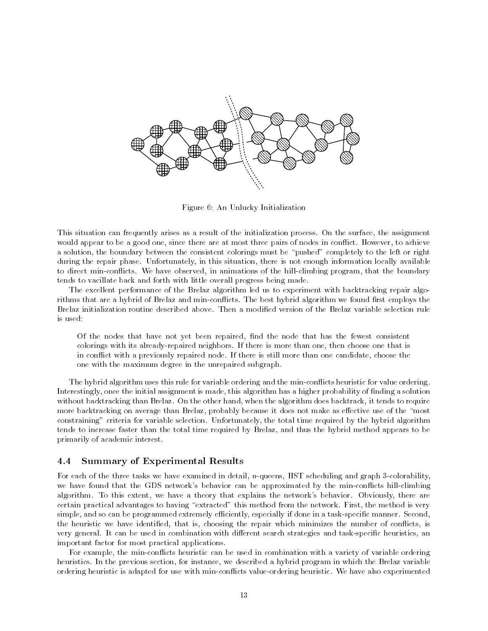

- An Unit Institute Institute Information

This situation can frequently arises as a result of the initialization process. On the surface, the assignment would appear to be a good one, since there are at most three pairs of nodes in conflict. However, to achieve a solution, the boundary between the consistent colorings must be "pushed" completely to the left or right during the repair phase. Unfortunately, in this situation, there is not enough information locally available to direct min-conflicts. We have observed, in animations of the hill-climbing program, that the boundary tends to vacillate back and forth with little overall progress being made

The excellent performance of the Brelaz algorithm led us to experiment with backtracking repair algo rithms that are a hybrid of Brelaz and min-conflicts. The best hybrid algorithm we found first employs the Brelaz initialization routine described above. Then a modified version of the Brelaz variable selection rule is used:

Of the nodes that have not yet been repaired, find the node that has the fewest consistent colorings with its already-repaired neighbors. If there is more than one, then choose one that is in conflict with a previously repaired node. If there is still more than one candidate, choose the one with the maximum degree in the unrepaired subgraph

The hybrid algorithm uses this rule for variable ordering and the min-conflicts heuristic for value ordering. Interestingly, once the initial assignment is made, this algorithm has a higher probability of finding a solution without backtracking than Brelaz. On the other hand, when the algorithm does backtrack, it tends to require more backtracking on average than Brelaz, probably because it does not make as effective use of the "most constraining" criteria for variable selection. Unfortunately, the total time required by the hybrid algorithm tends to increase faster than the total time required by Brelaz, and thus the hybrid method appears to be primarily of academic interest

#### 4.4 Summary of Experimental Results

For each of the three tasks we have examined in detail, *n*-queens, HST scheduling and graph 3-colorability, we have found that the GDS network's behavior can be approximated by the min-conflicts hill-climbing algorithm. To this extent, we have a theory that explains the network's behavior. Obviously, there are certain practical advantages to having "extracted" this method from the network. First, the method is very simple, and so can be programmed extremely efficiently, especially if done in a task-specific manner. Second, the heuristic we have identified, that is, choosing the repair which minimizes the number of conflicts, is very general. It can be used in combination with different search strategies and task-specific heuristics, an important factor for most practical applications

For example, the min-conflicts heuristic can be used in combination with a variety of variable ordering heuristics. In the previous section, for instance, we described a hybrid program in which the Brelaz variable ordering heuristic is adapted for use with min-conflicts value-ordering heuristic. We have also experimented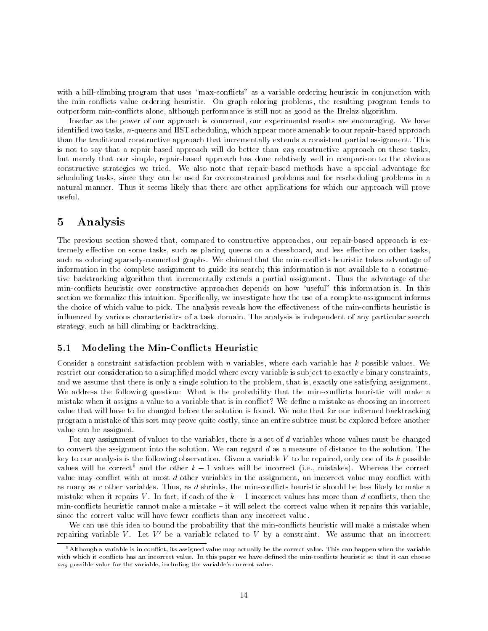with a hill-climbing program that uses "max-conflicts" as a variable ordering heuristic in conjunction with the min-conflicts value ordering heuristic. On graph-coloring problems, the resulting program tends to outperform min-conflicts alone, although performance is still not as good as the Brelaz algorithm.

Insofar as the power of our approach is concerned, our experimental results are encouraging. We have identified two tasks, *n*-queens and HST scheduling, which appear more amenable to our repair-based approach than the traditional constructive approach that incrementally extends a consistent partial assignment. This is not to say that a repair-based approach will do better than  $any$  constructive approach on these tasks, but merely that our simple, repair-based approach has done relatively well in comparison to the obvious constructive strategies we tried. We also note that repair-based methods have a special advantage for scheduling tasks, since they can be used for overconstrained problems and for rescheduling problems in a natural manner. Thus it seems likely that there are other applications for which our approach will prove

# Analysis

The previous section showed that, compared to constructive approaches, our repair-based approach is extremely effective on some tasks, such as placing queens on a chessboard, and less effective on other tasks, such as coloring sparsely-connected graphs. We claimed that the min-conflicts heuristic takes advantage of information in the complete assignment to guide its search this information is not available to a construc tive backtracking algorithm that incrementally extends a partial assignment. Thus the advantage of the min-conflicts heuristic over constructive approaches depends on how "useful" this information is. In this section we formalize this intuition. Specifically, we investigate how the use of a complete assignment informs the choice of which value to pick. The analysis reveals how the effectiveness of the min-conflicts heuristic is influenced by various characteristics of a task domain. The analysis is independent of any particular search strategy, such as hill climbing or backtracking.

#### $5.1$ Modeling the Min-Conflicts Heuristic

Consider a constraint satisfaction problem with n variables, where each variable has  $k$  possible values. We restrict our consideration to a simplified model where every variable is subject to exactly c binary constraints, and we assume that there is only a single solution to the problem, that is, exactly one satisfying assignment. we address the following question- will make probability that the minicipal modernic will minicipal m mistake when it assigns a value to a variable that is in conflict? We define a mistake as choosing an incorrect value that will have to be changed before the solution is found. We note that for our informed backtracking program a mistake of this sort may prove quite costly since an entire subtree must be explored before another value can be assigned

For any assignment of values to the variables, there is a set of d variables whose values must be changed to convert the assignment into the solution. We can regard  $d$  as a measure of distance to the solution. The key to our analysis is the following observation. Given a variable V to be repaired, only one of its k possible values will be correct<sup>5</sup> and the other  $k-1$  values will be incorrect (i.e., mistakes). Whereas the correct value may conflict with at most  $d$  other variables in the assignment, an incorrect value may conflict with as many as  $c$  other variables. Thus, as  $d$  shrinks, the min-conflicts heuristic should be less likely to make a mistake when it repairs V. In fact, if each of the  $k-1$  incorrect values has more than d conflicts, then the min-conflicts heuristic cannot make a mistake – it will select the correct value when it repairs this variable. since the correct value will have fewer conflicts than any incorrect value.

We can use this idea to bound the probability that the min-conflicts heuristic will make a mistake when repairing variable  $V$ . Let  $V'$  be a variable related to  $V$  by a constraint. We assume that an incorrect

 $5$  Although a variable is in conflict, its assigned value may actually be the correct value. This can happen when the variable with which it conflicts has an incorrect value. In this paper we have defined the min-conflicts heuristic so that it can choose  $any$  possible value for the variable, including the variable's current value.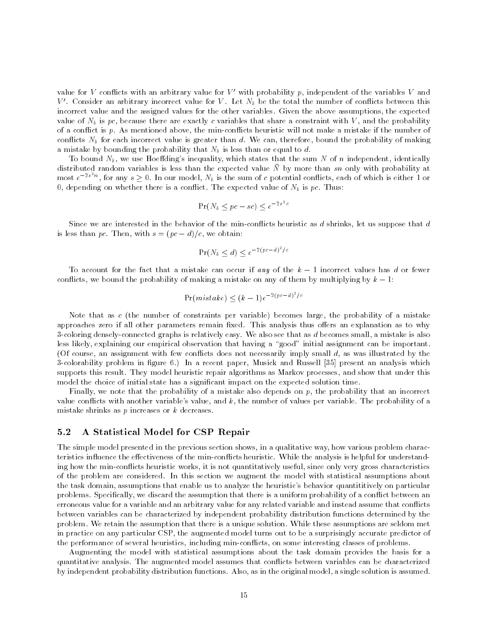value for V conflicts with an arbitrary value for  $V'$  with probability p, independent of the variables V and V'. Consider an arbitrary incorrect value for V. Let  $N_b$  be the total the number of conflicts between this incorrect value and the assigned values for the other variables Given the above assumptions the expected value of  $N_b$  is pc, because there are exactly c variables that share a constraint with V, and the probability of a conflict is  $p$ . As mentioned above, the min-conflicts heuristic will not make a mistake if the number of conflicts  $N_b$  for each incorrect value is greater than d. We can, therefore, bound the probability of making a mistake by bounding the probability that  $N_b$  is less than or equal to d.

To bound  $N_b$ , we use Hoeffding's inequality, which states that the sum N of n independent, identically distributed random variables is less than the expected value  $\bar{N}$  by more than sn only with probability at most  $e^{-2s-n}$ , for any  $s \ge 0$ . In our model,  $N_b$  is the sum of c potential conflicts, each of which is either 1 or 0, depending on whether there is a conflict. The expected value of  $N_b$  is pc. Thus:

$$
\Pr(N_b \le pc - sc) \le e^{-2s^2c}
$$

Since we are interested in the behavior of the min-conflicts heuristic as  $d$  shrinks, let us suppose that  $d$ is less than pc. Then, with  $s = (pc - d)/c$ , we obtain:

$$
\Pr(N_b \le d) \le e^{-2(p\,c - d)^2/c}
$$

To account for the fact that a mistake can occur if any of the  $k-1$  incorrect values has d or fewer conflicts, we bound the probability of making a mistake on any of them by multiplying by  $k-1$ :

$$
\Pr(mistake) \le (k-1)e^{-2(p\,-d)^2/c}
$$

Note that as c (the number of constraints per variable) becomes large, the probability of a mistake approaches zero if all other parameters remain fixed. This analysis thus offers an explanation as to why 3-coloring densely-connected graphs is relatively easy. We also see that as d becomes small, a mistake is also less likely, explaining our empirical observation that having a "good" initial assignment can be important. (Of course, an assignment with few conflicts does not necessarily imply small  $d$ , as was illustrated by the 3-colorability problem in figure 6.) In a recent paper, Musick and Russell [35] present an analysis which supports this result. They model heuristic repair algorithms as Markov processes, and show that under this model the choice of initial state has a significant impact on the expected solution time.

Finally, we note that the probability of a mistake also depends on  $p$ , the probability that an incorrect value conflicts with another variable's value, and  $k$ , the number of values per variable. The probability of a mistake shrinks as  $p$  increases or  $k$  decreases.

#### $5.2$ A Statistical Model for CSP Repair

The simple model presented in the previous section shows in a qualitative way how various problem charac teristics influence the effectiveness of the min-conflicts heuristic. While the analysis is helpful for understanding how the min-conflicts heuristic works, it is not quantitatively useful, since only very gross characteristics of the problem are considered. In this section we augment the model with statistical assumptions about the task domain, assumptions that enable us to analyze the heuristic's behavior quantititively on particular problems. Specifically, we discard the assumption that there is a uniform probability of a conflict between an erroneous value for a variable and an arbitrary value for any related variable and instead assume that conflicts between variables can be characterized by independent probability distribution functions determined by the problem We retain the assumption that there is a unique solution While these assumptions are seldom met in practice on any particular CSP, the augmented model turns out to be a surprisingly accurate predictor of the performance of several heuristics, including min-conflicts, on some interesting classes of problems.

Augmenting the model with statistical assumptions about the task domain provides the basis for a quantitative analysis. The augmented model assumes that conflicts between variables can be characterized by independent probability distribution functions. Also, as in the original model, a single solution is assumed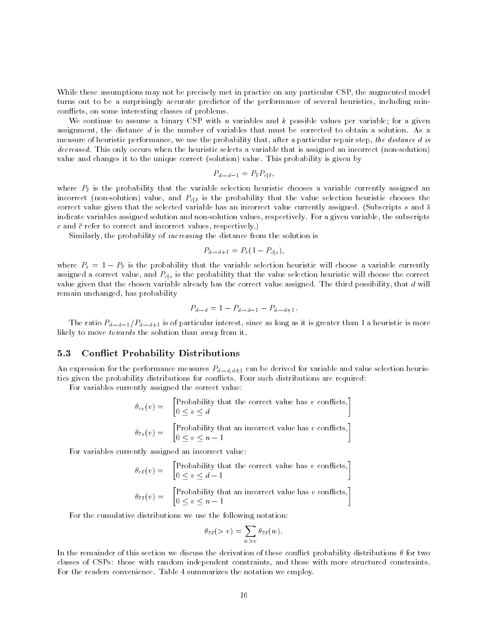While these assumptions may not be precisely met in practice on any particular CSP, the augmented model turns out to be a surprisingly accurate predictor of the performance of several heuristics, including minconflicts, on some interesting classes of problems.

We continue to assume a binary CSP with n variables and  $k$  possible values per variable; for a given assignment, the distance d is the number of variables that must be corrected to obtain a solution. As a measure of heuristic performance, we use the probability that, after a particular repair step, the distance d is decreased. This only occurs when the heuristic selects a variable that is assigned an incorrect (non-solution) value and changes it to the unique correct (solution) value. This probability is given by

$$
P_{d \to d-1} = P_{\bar{s}} P_{c|\bar{s}},
$$

where  $P_{\bar{s}}$  is the probability that the variable selection heuristic chooses a variable currently assigned an incorrect (non-solution) value, and  $P_{c\bar{s}}$  is the probability that the value selection heuristic chooses the correct value given that the selected variable has an incorrect value currently assigned. (Subscripts s and  $\bar{s}$ indicate variables assigned solution and non-solution values, respectively. For a given variable, the subscripts  $c$  and  $\bar{c}$  refer to correct and incorrect values, respectively.)

Similarly, the probability of *increasing* the distance from the solution is

$$
P_{d \to d+1} = P_s(1 - P_{c|s}),
$$

where  $P_s = 1 - P_{\bar{s}}$  is the probability that the variable selection heuristic will choose a variable currently assigned a correct value, and  $P_{c|s}$  is the probability that the value selection heuristic will choose the correct value given that the chosen variable already has the correct value assigned. The third possibility, that d will remain unchanged, has probability

$$
P_{d \to d} = 1 - P_{d \to d-1} - P_{d \to d+1}.
$$

The ratio Pdd-Pdd is of particular interest since as long as it is greater than a heuristic is more likely to move *towards* the solution than *away* from it.

## 5.3 Conflict Probability Distributions

An expression for the performance measures  $P_{d\rightarrow d, d\pm 1}$  can be derived for variable and value selection heuristics given the probability distributions for conflicts. Four such distributions are required:

For variables currently assigned the correct value:

$$
\theta_{cs}(v) = \begin{bmatrix} \text{Probability that the correct value has } v \text{ conflicts,} \\ 0 \le v \le d \end{bmatrix}
$$

$$
\theta_{\bar{c}s}(v) = \begin{bmatrix} \text{Probability that an incorrect value has } v \text{ conflicts,} \\ 0 \le v \le n - 1 \end{bmatrix}
$$

For variables currently assigned an incorrect value:

$$
\theta_{c\bar{s}}(v) = \begin{bmatrix} \text{Probability that the correct value has } v \text{ conflicts,} \\ 0 \le v \le d - 1 \end{bmatrix}
$$

$$
\theta_{\bar{c}\bar{s}}(v) = \begin{bmatrix} \text{Probability that an incorrect value has } v \text{ conflicts,} \\ 0 \le v \le n - 1 \end{bmatrix}
$$

For the cumulative distributions we use the following notation:

$$
\theta_{\bar{c}\bar{s}}(>v)=\sum_{w>v}\theta_{\bar{c}\bar{s}}(w).
$$

In the remainder of this section we discuss the derivation of these conflict probability distributions  $\theta$  for two classes of CSPs- those with random independent constraints and those with more structured constraints to For the readers convenience. Table 4 summarizes the notation we employ.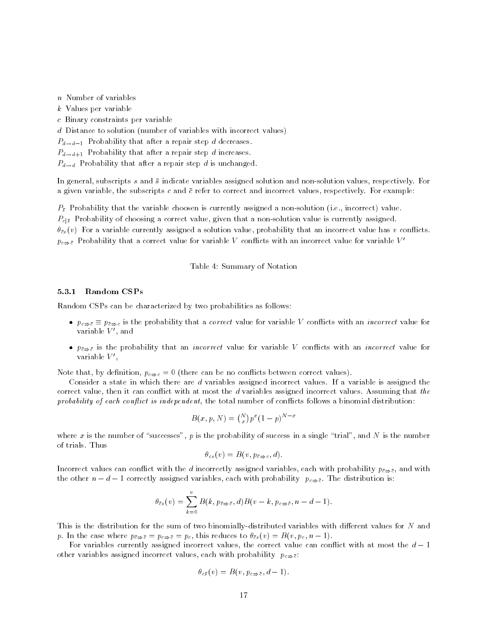<sup>n</sup> Number of variables <sup>k</sup> Values per variable <sup>c</sup> Binary constraints per variable  $d$  Distance to solution (number of variables with incorrect values) Pdd- Probability that after a repair step <sup>d</sup> decreases Pdd Probability that after a repair step <sup>d</sup> increases  $P_{d\rightarrow d}$  Probability that after a repair step d is unchanged.

In general, subscripts s and  $\bar{s}$  indicate variables assigned solution and non-solution values, respectively. For a given variable, the subscripts c and  $\bar{c}$  refer to correct and incorrect values, respectively. For example:

 $P_{\bar{s}}$  Probability that the variable choosen is currently assigned a non-solution (i.e., incorrect) value.  $P_{c|\bar{s}}$  Probability of choosing a correct value, given that a non-solution value is currently assigned.  $\theta_{\bar cs}(v)$  For a variable currently assigned a solution value, probability that an incorrect value has v conflicts.  $p_{c\rightarrow \bar{c}}$  Probability that a correct value for variable V conflicts with an incorrect value for variable V'

Table 1988, the summary of Notation of Notation of Notation of Notation of Notation of Notation of Notation of

Random CSPs can be characterized by two probabilities as follows-

- $p_{c\Rightarrow\bar{c}} \equiv p_{\bar{c}\Rightarrow c}$  is the probability that a *correct* value for variable V conflicts with an *incorrect* value for variable  $V'$ , and
- $\bullet$   $p_{\vec{\epsilon}} \Rightarrow \vec{\epsilon}$  is the probability that an *incorrect* value for variable V conflicts with an *incorrect* value for variable  $V'$ .

Note that, by definition,  $p_{c\Rightarrow c} = 0$  (there can be no conflicts between correct values).

Consider a state in which there are  $d$  variables assigned incorrect values. If a variable is assigned the correct value, then it can conflict with at most the  $d$  variables assigned incorrect values. Assuming that the ict is independent the total number of continuous and the total number of conicts follows a binomial distribution-

$$
B(x, p, N) = {N \choose r} p^{x} (1-p)^{N-1}
$$

where x is the number of "successes", p is the probability of success in a single "trial", and N is the number of trials Thus

$$
\theta_{cs}(v) = B(v, p_{\bar{c} \Rightarrow c}, d).
$$

Incorrect values can conflict with the d incorrectly assigned variables, each with probability  $p_{\bar{c}\to\bar{c}}$ , and with the other  $n - d - 1$  correctly assigned variables, each with probability  $p_{c \to \bar{c}}$ . The distribution is:

$$
\theta_{\bar{c}s}(v) = \sum_{k=0}^{v} B(k, p_{\bar{c}\Rightarrow \bar{c}}, d)B(v-k, p_{c\Rightarrow \bar{c}}, n-d-1).
$$

This is the distribution for the sum of two binomially-distributed variables with different values for  $N$  and p. In the case where  $p_{\bar{\epsilon}} \geq p_{c \to \bar{\epsilon}} = p_c$ , this reduces to  $\theta_{\bar{\epsilon}s}(v) = B(v, p_c, n-1)$ .

For variables currently assigned incorrect values, the correct value can conflict with at most the  $d-1$ other variables assigned incorrect values, each with probability  $p_{c\rightarrow \bar{c}}$ .

$$
\theta_{c\bar{s}}(v) = B(v, p_{c \Rightarrow \bar{c}}, d - 1).
$$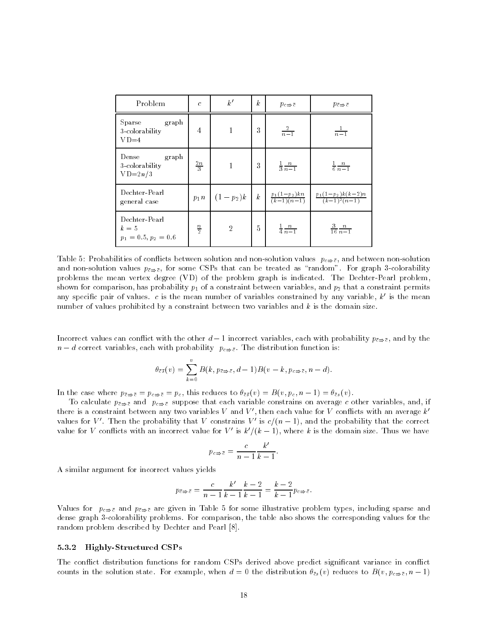| Problem                                          | $\mathcal{C}$  | $k^{\prime}$   | k | $p_{c\Rightarrow \bar{c}}$        | $p_{\bar{c}\Rightarrow\bar{c}}$          |
|--------------------------------------------------|----------------|----------------|---|-----------------------------------|------------------------------------------|
| Sparse<br>graph<br>3-colorability<br>$VD=4$      | 4              | $\mathbf{1}$   | 3 | $\frac{2}{n-1}$                   | $\frac{1}{n-1}$                          |
| Dense<br>graph<br>3-colorability<br>$VD = 2n/3$  | $\frac{2n}{3}$ | $\mathbf{1}$   | 3 | $rac{1}{3}$ $rac{n}{n-1}$         | $\frac{1}{6} \frac{n}{n-1}$              |
| Dechter Pearl<br>general case                    | $p_1 n$        | $(1-p_2)k$     | k | $\frac{p_1(1-p_2)kn}{(k-1)(n-1)}$ | $\frac{p_1(1-p_2)k(k-2)n}{(k-1)^2(n-1)}$ |
| Dechter Pearl<br>$k=5$<br>$p_1 = 0.5, p_2 = 0.6$ | $\frac{n}{2}$  | $\overline{2}$ | 5 | $rac{1}{4}$ $rac{n}{n-1}$         | $\frac{3}{16} \frac{n}{n-1}$             |

Table - Probabilities of connects between solution and non-terminate values p<sub>la</sub>gger and between nonsolution and non-solution values  $p_{\bar{c}\Rightarrow\bar{c}}$ , for some CSPs that can be treated as "random". For graph 3-colorability problems the mean vertex degree (VD) of the problem graph is indicated. The Dechter-Pearl problem, shown for comparison has probability p of a constraint between variables and p-p-that a constraint p-that a co any specific pair of values.  $c$  is the mean number of variables constrained by any variable,  $k'$  is the mean number of values prohibited by a constraint between two variables and  $k$  is the domain size.

Incorrect values can conflict with the other  $d-1$  incorrect variables, each with probability  $p_{\bar{c}\to\bar{c}}$ , and by the  $n-d$  correct variables, each with probability  $p_{c\rightarrow \bar{c}}$ . The distribution function is:

$$
\theta_{\bar{\varepsilon}\bar{s}}(v) = \sum_{k=0}^{v} B(k, p_{\bar{\varepsilon}\Rightarrow\bar{\varepsilon}}, d-1)B(v-k, p_{c\Rightarrow\bar{\varepsilon}}, n-d).
$$

In the case where  $p_{\bar{c}\Rightarrow\bar{c}} = p_{c\Rightarrow\bar{c}} = p_c$ , this reduces to  $\theta_{\bar{c}\bar{s}}(v) = B(v, p_c, n - 1) = \theta_{\bar{c}s}(v)$ .

To calculate  $p_{\bar{c}\to\bar{c}}$  and  $p_{c\to\bar{c}}$  suppose that each variable constrains on average c other variables, and, if there is a constraint between any two variables V and V', then each value for V conflicts with an average  $k'$ values for V'. Then the probability that V constrains V' is  $c/(n-1)$ , and the probability that the correct value for V conflicts with an incorrect value for V' is  $k'/(k-1)$ , where k is the domain size. Thus we have

$$
p_{c \Rightarrow \bar{c}} = \frac{c}{n-1} \frac{k'}{k-1}.
$$

A similar argument for incorrect values yields

$$
p_{\bar{c}\Rightarrow\bar{c}} = \frac{c}{n-1} \frac{k'}{k-1} \frac{k-2}{k-1} = \frac{k-2}{k-1} p_{c\Rightarrow\bar{c}}.
$$

Values for  $p_{c\rightarrow \bar{c}}$  and  $p_{\bar{c}\rightarrow \bar{c}}$  are given in Table 5 for some illustrative problem types, including sparse and dense graph 3-colorability problems. For comparison, the table also shows the corresponding values for the random problem described by Dechter and Pearl

### -- HighlyStructured CSPs

The conflict distribution functions for random CSPs derived above predict significant variance in conflict counts in the solution state. For example, when  $d=0$  the distribution  $\theta_{\bar{c}s}(v)$  reduces to  $B(v, p_{c \to \bar{c}}, n-1)$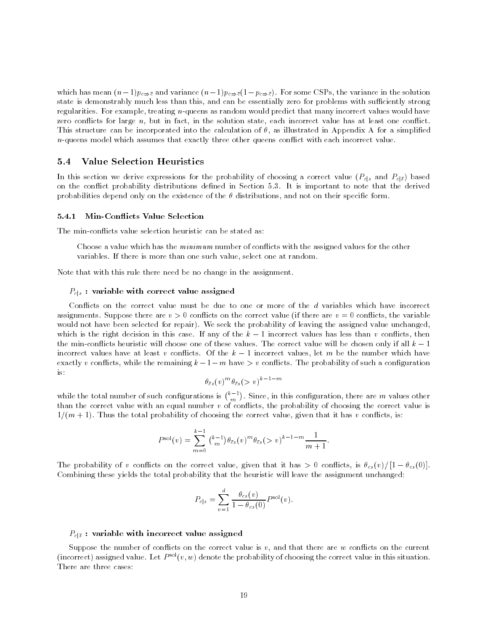which has mean  $(n-1)p_{c\Rightarrow \bar{c}}$  and variance  $(n-1)p_{c\Rightarrow \bar{c}}(1-p_{c\Rightarrow \bar{c}})$ . For some CSPs, the variance in the solution state is demonstrably much less than this, and can be essentially zero for problems with sufficiently strong regularities. For example, treating  $n$ -queens as random would predict that many incorrect values would have zero conflicts for large  $n$ , but in fact, in the solution state, each incorrect value has at least one conflict. This structure can be incorporated into the calculation of  $\theta$ , as illustrated in Appendix A for a simplified  $n$ -queens model which assumes that exactly three other queens conflict with each incorrect value.

#### $5.4$ Value Selection Heuristics

In this section we derive expressions for the probability of choosing a correct value  $(P_{c|s}$  and  $P_{c|\bar{s}})$  based on the conflict probability distributions defined in Section 5.3. It is important to note that the derived probabilities depend only on the existence of the  $\theta$  distributions, and not on their specific form.

#### Min-Conflicts Value Selection 5.4.1

The min-conflicts value selection heuristic can be stated as:

Choose a value which has the  $minimum$  number of conflicts with the assigned values for the other variables. If there is more than one such value, select one at random.

Note that with this rule there need be no change in the assignment

### Pcjs variable with correct value assigned

Conflicts on the correct value must be due to one or more of the  $d$  variables which have incorrect assignments. Suppose there are  $v > 0$  conflicts on the correct value (if there are  $v = 0$  conflicts, the variable would not have been selected for repair). We seek the probability of leaving the assigned value unchanged. which is the right decision in this case. If any of the  $k-1$  incorrect values has less than v conflicts, then the min-conflicts heuristic will choose one of these values. The correct value will be chosen only if all  $k-1$ incorrect values have at least v conflicts. Of the  $k-1$  incorrect values, let m be the number which have exactly v conflicts, while the remaining  $k - 1 - m$  have  $> v$  conflicts. The probability of such a configuration is-

$$
\theta_{\bar cs}(v)^m \theta_{\bar cs}(>v)^{k-1-m}
$$

while the total number of such configurations is  $\binom{k-1}{m}$ . S ). Since, in this configuration, there are  $m$  values other than the correct value with an equal number <sup>v</sup> of conicts the probability of choosing the correct value is  $1/(m+1)$ . Thus the total probability of choosing the correct value, given that it has v conflicts, is:

$$
P^{sol}(v) = \sum_{m=0}^{k-1} {k-1 \choose m} \theta_{\bar{c}s}(v)^m \theta_{\bar{c}s}(v)^{k-1-m} \frac{1}{m+1}.
$$

The probability of v conflicts on the correct value, given that it has  $> 0$  conflicts, is  $\theta_{cs}(v)/[1-\theta_{cs}(0)]$ . Combining these yields the total probability that the heuristic will leave the assignment unchanged:

$$
P_{c|s} = \sum_{v=1}^{d} \frac{\theta_{cs}(v)}{1 - \theta_{cs}(0)} P^{\text{sol}}(v).
$$

### Pcjs variable with incorrect value assigned

Suppose the number of conflicts on the correct value is  $v$ , and that there are  $w$  conflicts on the current (incorrect) assigned value. Let  $P^{sol}(v, w)$  denote the probability of choosing the correct value in this situation There are three cases: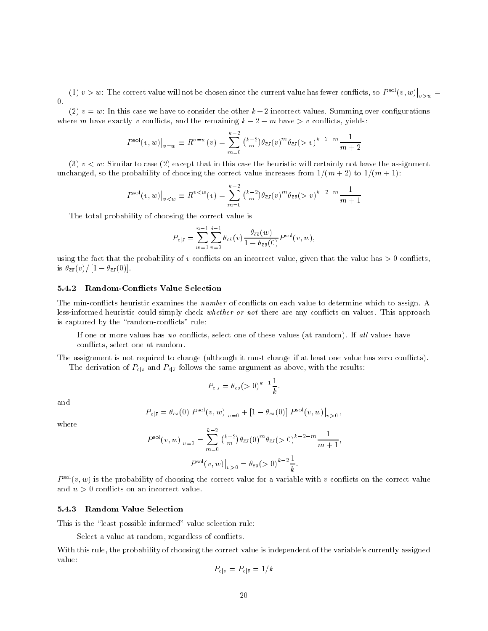(1)  $v > w$ : The correct value will not be chosen since the current value has fewer conflicts, so  $P^{\rm sol}(v,w)|_{v>w} =$  $\overline{0}$ .

 $\mathcal{L}_{\mathcal{I}}$  , we have this case we have to consider the other considered to consider  $\mathcal{I}$  , we have  $\mathcal{I}$ where  $m$  have exactly v confirmed, and the remaining  $k = 1$  where  $\lambda$  is confirmed, yields:

$$
P^{\text{sol}}(v, w)|_{v=w} \equiv R^{v=w}(v) = \sum_{m=0}^{k-2} {k-2 \choose m} \theta_{\bar{c}\bar{s}}(v)^m \theta_{\bar{c}\bar{s}}(v)^{k-2-m} \frac{1}{m+2}
$$

 $\{v\}$  . Similar to case the first that is cased to case the second certainly not leave the assignment. which and the probability of choosing the correct value increases from  $\pi_1$  (ii)  $\pi_1$  and  $\pi_1$ 

$$
P^{sol}(v, w)|_{v \le w} \equiv R^{v \le w}(v) = \sum_{m=0}^{k-2} {k-2 \choose m} \theta_{\bar{c}\bar{s}}(v)^m \theta_{\bar{c}\bar{s}}(v)^{k-2-m} \frac{1}{m+1}
$$

The total probability of choosing the correct value is

$$
P_{c|\bar{s}} = \sum_{w=1}^{n-1} \sum_{v=0}^{d-1} \theta_{c\bar{s}}(v) \frac{\theta_{\bar{c}\bar{s}}(w)}{1 - \theta_{\bar{c}\bar{s}}(0)} P^{\text{sol}}(v, w),
$$

using the fact that the probability of v conflicts on an incorrect value, given that the value has  $>0$  conflicts, is  $\theta_{\bar{c}\bar{s}}(v) / [1 - \theta_{\bar{c}\bar{s}}(0)].$ 

### 5.4.2 Random-Conflicts Value Selection

The min-conflicts heuristic examines the *number* of conflicts on each value to determine which to assign. A less-informed heuristic could simply check whether or not there are any conflicts on values. This approach is captured by the "random-conflicts" rule:

If one or more values has no conflicts, select one of these values (at random). If all values have conflicts, select one at random.

The assignment is not required to change (although it must change if at least one value has zero conflicts).

The derivation of  $P_{c|s}$  and  $P_{c|\bar{s}}$  follows the same argument as above, with the results:

$$
P_{c|s} = \theta_{cs} > 0)^{k-1} \frac{1}{k}.
$$

and

$$
P_{c|\bar{s}} = \theta_{c\bar{s}}(0) P^{\text{sol}}(v, w)|_{v=0} + [1 - \theta_{c\bar{s}}(0)] P^{\text{sol}}(v, w)|_{v>0},
$$

where

$$
P^{\text{sol}}(v, w)|_{v=0} = \sum_{m=0}^{k-2} {k-2 \choose m} \theta_{\bar{c}\bar{s}}(0)^m \theta_{\bar{c}\bar{s}}(0)^{k-2-m} \frac{1}{m+1},
$$

$$
P^{\text{sol}}(v, w)|_{v>0} = \theta_{\bar{c}\bar{s}}(0)^{k-2} \frac{1}{k}.
$$

 $P^{sol}(v, w)$  is the probability of choosing the correct value for a variable with v conflicts on the correct value and  $w > 0$  conflicts on an incorrect value.

This is the "least-possible-informed" value selection rule:

Select a value at random, regardless of conflicts.

With this rule, the probability of choosing the correct value is independent of the variable's currently assigned value:

$$
P_{c|s} = P_{c|\bar{s}} = 1/k
$$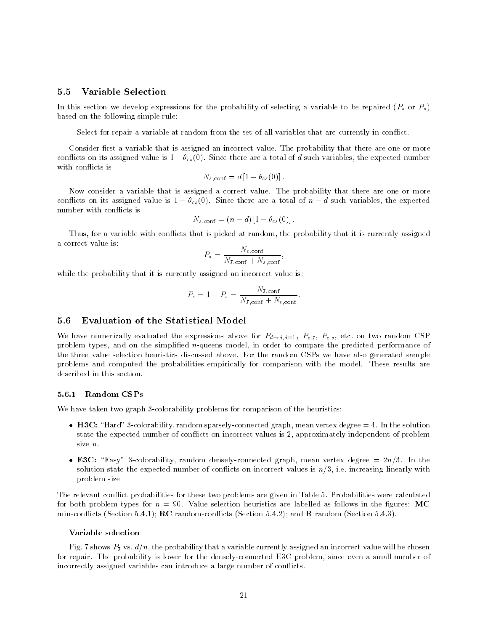#### $5.5$ Variable Selection

In this section we develop expressions for the probability of selecting a variable to be repaired  $(P_s \text{ or } P_{\overline{s}})$ based on the following simple rule:

Select for repair a variable at random from the set of all variables that are currently in conflict.

Consider first a variable that is assigned an incorrect value. The probability that there are one or more conflicts on its assigned value is  $1-\theta_{\bar{\epsilon}\bar{s}}(0)$ . Since there are a total of d such variables, the expected number with conflicts is

$$
N_{\bar{s},\text{conf}} = d \left[ 1 - \theta_{\bar{c}\bar{s}}(0) \right].
$$

Now consider a variable that is assigned a correct value. The probability that there are one or more conflicts on its assigned value is  $1-\theta_{cs}(0)$ . Since there are a total of  $n-d$  such variables, the expected number with conflicts is

$$
N_{s,\text{conf}} = (n-d)[1-\theta_{cs}(0)].
$$

Thus, for a variable with conflicts that is picked at random, the probability that it is currently assigned a correct value is:

$$
P_s = \frac{N_{s,\text{conf}}}{N_{\bar{s},\text{conf}} + N_{s,\text{conf}}},
$$

while the probability that it is currently assigned an incorrect value is:

$$
P_{\bar{s}} = 1 - P_s = \frac{N_{\bar{s}, \text{conf}}}{N_{\bar{s}, \text{conf}} + N_{s, \text{conf}}}.
$$

#### 5.6 Evaluation of the Statistical Model

We have numerically evaluated the expressions above for  $P_{d\rightarrow d,d\pm 1}$ ,  $P_{c|s}$ ,  $P_{c|s}$ , etc. on two random CSP problem types, and on the simplified  $n$ -queens model, in order to compare the predicted performance of the three value selection heuristics discussed above For the random CSPs we have also generated sample problems and computed the probabilities empirically for comparison with the model These results are described in this section

## 5.6.1 Random CSPs

We have taken two graph 3-colorability problems for comparison of the heuristics:

- HC Hard colorability random sparselyconnected graph mean vertex degree 
 In the solution state the expected number of conicts on incorrect values is approximately independent of problem size n.
- EC Easy colorability random denselyconnected graph mean vertex degree n In the solution state the expected number of conflicts on incorrect values is  $n/3$ , i.e. increasing linearly with problem size

The relevant conflict probabilities for these two problems are given in Table 5. Probabilities were calculated for both problem types for <sup>n</sup>  Value selection heuristics are labelled as follows in the gures- MC minconicts Section  $\mathbf{N}$ 

### Variable selection

Fig. 7 shows  $P_{\bar{s}}$  vs.  $d/n$ , the probability that a variable currently assigned an incorrect value will be chosen for repair. The probability is lower for the densely-connected E3C problem, since even a small number of incorrectly assigned variables can introduce a large number of conflicts.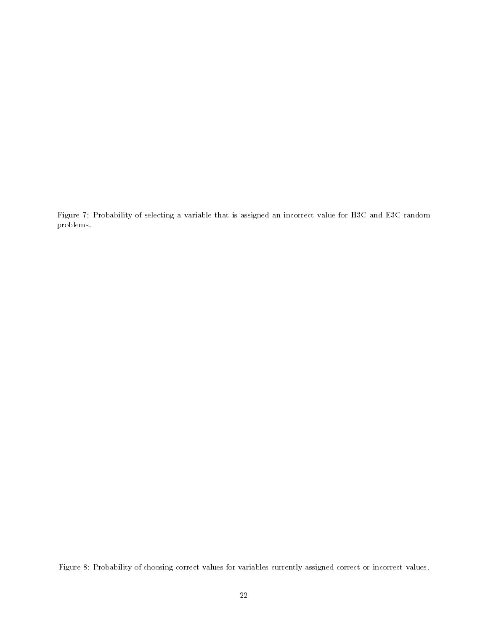Figure - Probability of selecting a variable that is assigned an incorrect value for HC and EC random problems

Figure - Probability of choosing correct values for variables currently assigned correct or incorrect values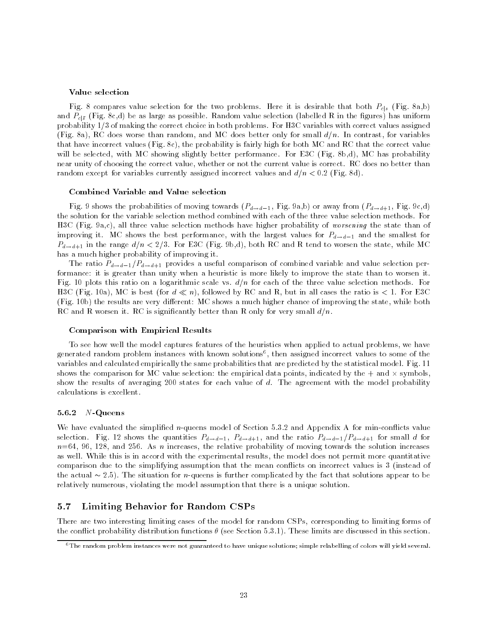### Value selection

Fig. 8 compares value selection for the two problems. Here it is desirable that both  $P_{c|s}$  (Fig. 8a,b) and  $P_{c|\bar{s}}$  (Fig. 8c,d) be as large as possible. Random value selection (labelled R in the figures) has uniform probability  $1/3$  of making the correct choice in both problems. For H3C variables with correct values assigned (Fig. 8a), RC does worse than random, and MC does better only for small  $d/n$ . In contrast, for variables that have incorrect values  $(Fig. 8c)$ , the probability is fairly high for both MC and RC that the correct value will be selected, with MC showing slightly better performance. For E3C (Fig. 8b,d), MC has probability near unity of choosing the correct value, whether or not the current value is correct. RC does no better than random except for variables currently assigned incorrect values and  $\alpha_i$  is  $\chi$  of  $\mu$  and day.

## Combined Variable and Value selection

Fig. . The probabilities of moving towards Pdd-d-Alexandrum and the moving towards Pdd-d-Pad-d-Pddthe solution for the variable selection method combined with each of the three value selection methods For H3C (Fig. 9a,c), all three value selection methods have higher probability of worsening the state than of improving it message in the best performance with the largest values for Pdaya-1 and the smallest for  $P_{d \to d+1}$  in the range  $\alpha/\alpha \to -\gamma$  of Let  $\alpha \circ \beta$  , which recent recommends to worsen the state must have has a much higher probability of improving it

The ratio Pdd-Pdd provides a useful comparison of combined variable and value selection per formance- it is greater than unity when a heuristic is more likely to improve the state than to worsen it Fig. 10 plots this ratio on a logarithmic scale vs.  $d/n$  for each of the three value selection methods. For H3C (Fig. 10a), MC is best (for  $d \ll n$ ), followed by RC and R, but in all cases the ratio is  $\lt 1$ . For E3C Fig b the results are very dierent- MC shows a much higher chance of improving the state while both RC and R worsen it. RC is significantly better than R only for very small  $d/n$ .

### Comparison with Empirical Results

To see how well the model captures features of the heuristics when applied to actual problems we have generated random problem instances with known solutions , then assigned incorrect values to some of the the so variables and calculated empirically the same probabilities that are predicted by the statistical model. Fig. 11 shows the comparison for MC value selection- the empirical data points indicated by the points indicated by th show the results of averaging with alleged calls with the model agreement with the model probability of the mod calculations is excellent

### -- NQueens

we have evaluated the simplified inquiries model of Section and Section and Appendix A for minconstruction value selection Fig. II and the quantities Fully 11 Fullywork and the force Fully 11 Fullywork and the ratio n increases the relative probability of the relative probability of moving to moving the solution increases in as well. While this is in accord with the experimental results, the model does not permit more quantitative comparison due to the simplifying assumption that the mean conflicts on incorrect values is 3 (instead of the situation for any the situation for the situation for the further complete that the fact that the fact tha relatively numerous, violating the model assumption that there is a unique solution.

## Limiting Behavior for Random CSPs

There are two interesting limiting cases of the model for random CSPs, corresponding to limiting forms of the conflict probability distribution functions  $\theta$  (see Section 5.3.1). These limits are discussed in this section.

 $6$ The random problem instances were not guaranteed to have unique solutions; simple relabelling of colors will yield several.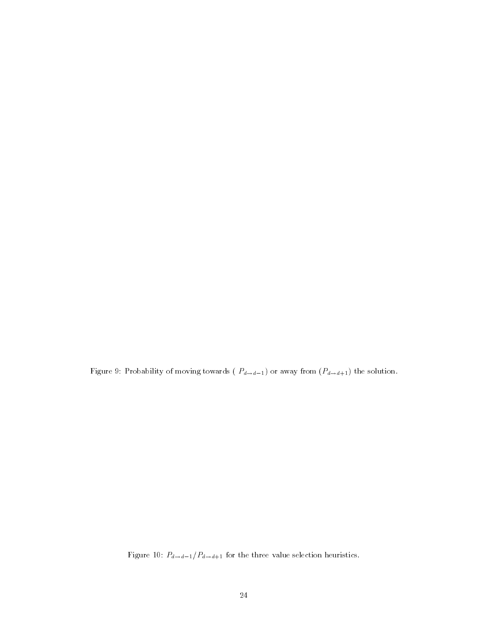Figure - Probability of moving towards Pdd- or away from Pdd the solution

Figure - Pdd-Pdd for the three value selection heuristics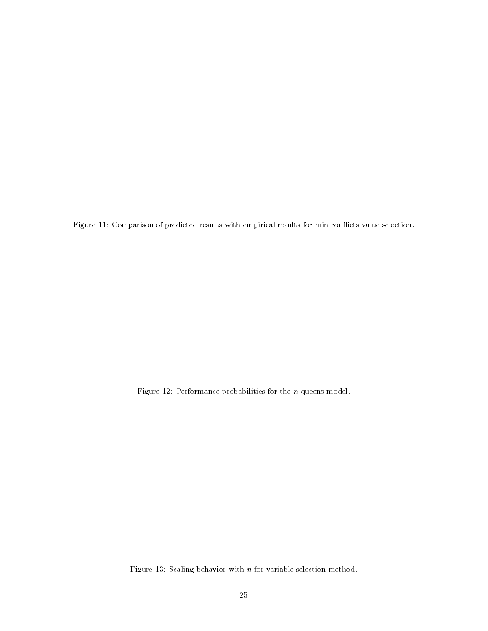$\Gamma$  -comparison of predicted results with empirical results with empirical results for minical results  $\Gamma$ 

Figure - Performance probabilities for the nqueens model

Figure - Scaling behavior with <sup>n</sup> for variable selection method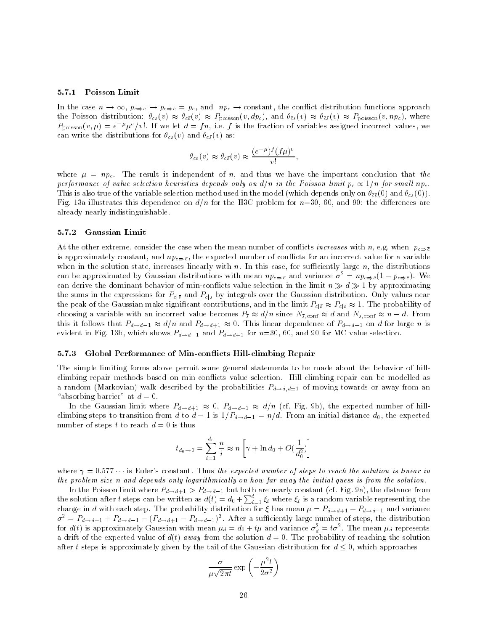### Poisson Limit

In the case is a pc power of continuous constant the content the content the content the constant of problems o  $\alpha$  corresponding to the Poisson  $\alpha$  (called and called and  $\alpha$  called  $\alpha$  -  $\alpha$  poisson vine called  $\alpha$  $F_{\rm poisson}(v,\mu)=e^{-\mu} \mu^*/v$  . If we fet  $a=j\,n$ , i.e.  $j$  is the fraction of variables assigned incorrect values, we can write the distributions for  $\theta_{cs}(v)$  and  $\theta_{c\bar{s}}(v)$  as:

$$
\theta_{cs}(v) \approx \theta_{c\bar{s}}(v) \approx \frac{(e^{-\mu})^f (f\mu)^v}{v!},
$$

where  $\mu = np_c$ . The result is independent of n, and thus we have the important conclusion that the performance of value selection heuristics depends only on  $d/n$  in the Poisson limit  $p_c \propto 1/n$  for small  $np_c$ . This is also true of the variable selection method used in the model (which depends only on  $\theta_{\bar{c}\bar{s}}(0)$  and  $\theta_{cs}(0)$ ). Fig a illustrates this dependence on dn for the HC problem for n  and - the dierences are already nearly indistinguishable

At the other extreme, consider the case when the mean number of conflicts increases with n, e.g. when  $p_{c\Rightarrow \bar{c}}$ is approximately constant, and  $np_{c\Rightarrow \bar{c}}$ , the expected number of conflicts for an incorrect value for a variable when in the solution state, increases linearly with  $n$ . In this case, for sufficiently large  $n$ , the distributions can be approximated by Gaussian distributions with mean  $n p_{c \Rightarrow \bar{c}}$  and variance  $\sigma^- = n p_{c \Rightarrow \bar{c}} (1-p_{c \Rightarrow \bar{c}})$ . We can derive the dominant behavior of min-conflicts value selection in the limit  $n \gg d \gg 1$  by approximating the sums in the expressions for  $P_{c|s}$  and  $P_{c|s}$  by integrals over the Gaussian distribution. Only values near the peak of the Gaussian make significant contributions, and in the limit  $P_{c|s} \approx P_{c|s} \approx 1$ . The probability of choosing a variable with an incorrect value becomes  $P_{\bar{s}} \approx d/n$  since  $N_{\bar{s},\text{conf}} \approx d$  and  $N_{s,\text{conf}} \approx n-d$ . From this it follows that Pdd-Ad-  $\alpha$  and Pd-Ad-  $\alpha$  . This linear dependence of Pd-Ad-  $\alpha$  for large  $\alpha$  is the position evidence in Fig. and Participate and Participate II when I follows Participate and Communications in the MC value selection

### Global Performance of Min-conflicts Hill-climbing Repair

The simple limiting forms above permit some general statements to be made about the behavior of hill climbing repair methods based on min-conflicts value selection. Hill-climbing repair can be modelled as a random (Markovian) walk described by the probabilities  $P_{d-d,d+1}$  of moving towards or away from an "absorbing barrier" at  $d=0$ .

In the Gaussian limit when  $\mu_{\rm{max}}$  and  $\mu_{\rm{max}}$  and  $\mu_{\rm{max}}$  are expected in  $\mu_{\rm{max}}$  . The expected number of  $\mu_{\rm{max}}$ climation of the three climatic from distance d to distance  $\alpha$  is Pdd-1 and From an initial distance distance distance distance distance distance distance distance distance distance distance distance distance distance di number of steps t to reach  $d = 0$  is thus

$$
t_{d_0 \to 0} = \sum_{i=1}^{d_0} \frac{n}{i} \approx n \left[ \gamma + \ln d_0 + O(\frac{1}{d_0^2}) \right]
$$

where  $\mu$  - where the expected number of steps the expected number of steps to reach the solution in the solution the problem size n and depends only logarithmically on how far away the initial guess is from the solution.

In the Poisson limit where  $P_{a\rightarrow a+1}$  is  $P_{a\rightarrow a+1}$  such section are nearly constant (cf. Fig. supports distance from the solution after t steps can be written as  $d(t)=d_0+\sum_{i=1}^t \xi_i$  where  $\xi_i$  is a random variable representing the change in distribution for the probability distribution for  $\lambda$  mean include  $p$  . The pdd-  $p$  and variance include  $\lambda$  $\sigma^- = r_{d\to d+1} + r_{d\to d-1} - (r_{d\to d+1} - r_{d\to d-1})$ . After a sumclently large number of steps, the distribution for  $a(t)$  is approximately Gaussian with mean  $\mu_d = a_0 + t\mu$  and variance  $\sigma_d^- = t\sigma^-$ . The mean  $\mu_d$  represents a drift of the expected value of  $d(t)$  away from the solution  $d = 0$ . The probability of reaching the solution after t steps is approximately given by the tail of the Gaussian distribution for  $d \leq 0$ , which approaches

$$
\frac{\sigma}{\mu\sqrt{2\pi t}}\exp\left(-\frac{\mu^2 t}{2\sigma^2}\right)
$$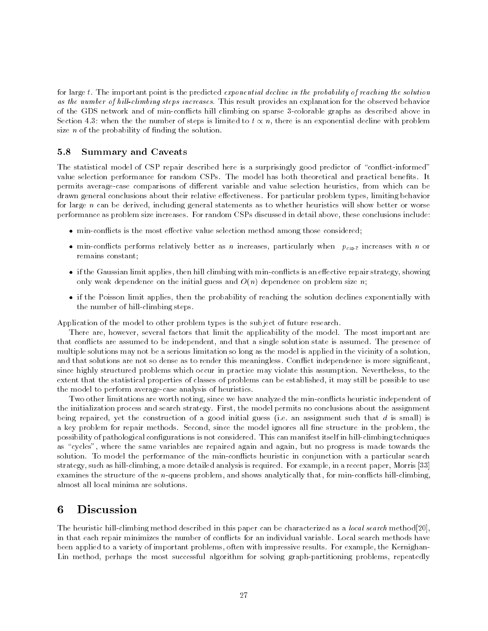for large t. The important point is the predicted exponential decline in the probability of reaching the solution as the number of hill-climbing steps increases. This result provides an explanation for the observed behavior of the GDS network and of min-conflicts hill climbing on sparse 3-colorable graphs as described above in when the the number of steps is an exponential decline to the there is an exponential decline with problems to size  $n$  of the probability of finding the solution.

#### 5.8 Summary and Caveats

The statistical model of CSP repair described here is a surprisingly good predictor of "conflict-informed" value selection performance for random CSPs. The model has both theoretical and practical benefits. It permits average-case comparisons of different variable and value selection heuristics, from which can be drawn general conclusions about their relative effectiveness. For particular problem types, limiting behavior for large  $n$  can be derived, including general statements as to whether heuristics will show better or worse performance as problem size increases. For random CSPs discussed in detail above, these conclusions include:

- $\bullet$  min-conflicts is the most effective value selection method among those considered;
- min-conflicts performs relatively better as n increases, particularly when  $p_{c\Rightarrow\bar{c}}$  increases with n or remains constant
- if the Gaussian limit applies, then hill climbing with min-conflicts is an effective repair strategy, showing only weak dependence on the initial guess and  $O(n)$  dependence on problem size n;
- $\bullet$  if the Poisson limit applies, then the probability of reaching the solution declines exponentially with the number of hill-climbing steps.

Application of the model to other problem types is the subject of future research

There are, however, several factors that limit the applicability of the model. The most important are that conflicts are assumed to be independent, and that a single solution state is assumed. The presence of multiple solutions may not be a serious limitation so long as the model is applied in the vicinity of a solution and that solutions are not so dense as to render this meaningless. Conflict independence is more significant, since highly structured problems which occur in practice may violate this assumption. Nevertheless, to the extent that the statistical properties of classes of problems can be established, it may still be possible to use the model to perform average-case analysis of heuristics.

Two other limitations are worth noting, since we have analyzed the min-conflicts heuristic independent of the initialization process and search strategy. First, the model permits no conclusions about the assignment being repaired, yet the construction of a good initial guess (i.e. an assignment such that d is small) is a key problem for repair methods. Second, since the model ignores all fine structure in the problem, the possibility of pathological configurations is not considered. This can manifest itself in hill-climbing techniques as "cycles", where the same variables are repaired again and again, but no progress is made towards the solution. To model the performance of the min-conflicts heuristic in conjunction with a particular search strategy, such as hill-climbing, a more detailed analysis is required. For example, in a recent paper, Morris [33] examines the structure of the *n*-queens problem, and shows analytically that, for min-conflicts hill-climbing, almost all local minima are solutions.

### **Discussion** 6

The heuristic hillclimbing method described in this paper can be characterized as a local search method  in that each repair minimizes the number of conflicts for an individual variable. Local search methods have been applied to a variety of important problems, often with impressive results. For example, the Kernighan-Lin method, perhaps the most successful algorithm for solving graph-partitioning problems, repeatedly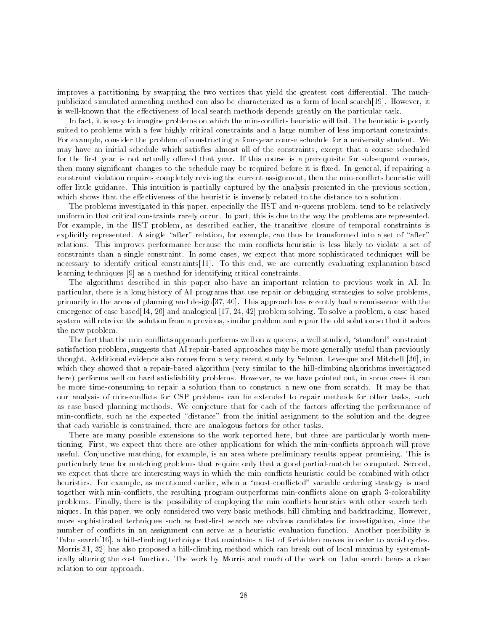improves a partitioning by swapping the two vertices that yield the greatest cost differential. The muchpublicized simulated annealing method can also be characterized as a form of local search [19]. However, it is well-known that the effectiveness of local search methods depends greatly on the particular task.

In fact, it is easy to imagine problems on which the min-conflicts heuristic will fail. The heuristic is poorly suited to problems with a few highly critical constraints and a large number of less important constraints For example, consider the problem of constructing a four-year course schedule for a university student. We may have an initial schedule which satisfies almost all of the constraints, except that a course scheduled for the first year is not actually offered that year. If this course is a prerequisite for subsequent courses, then many significant changes to the schedule may be required before it is fixed. In general, if repairing a constraint violation requires completely revising the current assignment, then the min-conflicts heuristic will offer little guidance. This intuition is partially captured by the analysis presented in the previous section, which shows that the effectiveness of the heuristic is inversely related to the distance to a solution.

The problems investigated in this paper, especially the  $HST$  and  $n$ -queens problem, tend to be relatively uniform in that critical constraints rarely occur. In part, this is due to the way the problems are represented. For example, in the HST problem, as described earlier, the transitive closure of temporal constraints is explicitly represented. A single "after" relation, for example, can thus be transformed into a set of "after" relations. This improves performance because the min-conflicts heuristic is less likely to violate a set of constraints than a single constraint. In some cases, we expect that more sophisticated techniques will be necessary to identify critical constraints  $[11]$ . To this end, we are currently evaluating explanation-based learning techniques  $[9]$  as a method for identifying critical constraints.

The algorithms described in this paper also have an important relation to previous work in AI In particular, there is a long history of AI programs that use repair or debugging strategies to solve problems, primarily in the areas of planning and design[37, 40]. This approach has recently had a renaissance with the emergence of casebased and and analogical and analogical and analogical and analogical and analogical and analogical and analogical and analogical and analogical and analogical and analogical and analogical and analogical system will retreive the solution from a previous similar problem and repair the old solution so that it solves the new problems in the new problems of the new problems in the new problems of the new problems in the new problems in the new problems in the new problems in the new problems in the new problems in the new problems in th

The fact that the min-conflicts approach performs well on  $n$ -queens, a well-studied, "standard" constraintsatisfaction problem, suggests that AI repair-based approaches may be more generally useful than previously thought. Additional evidence also comes from a very recent study by Selman, Levesque and Mitchell [36], in which they showed that a repair-based algorithm (very similar to the hill-climbing algorithms investigated here) performs well on hard satisfiability problems. However, as we have pointed out, in some cases it can be more time-consuming to repair a solution than to construct a new one from scratch. It may be that our analysis of min-conflicts for CSP problems can be extended to repair methods for other tasks, such as case-based planning methods. We conjecture that for each of the factors affecting the performance of min-conflicts, such as the expected "distance" from the initial assignment to the solution and the degree that each variable is constrained, there are analogous factors for other tasks.

There are many possible extensions to the work reported here, but three are particularly worth mentioning. First, we expect that there are other applications for which the min-conflicts approach will prove useful. Conjunctive matching, for example, is an area where preliminary results appear promising. This is particularly true for matching problems that require only that a good partial-match be computed. Second, we expect that there are interesting ways in which the min-conflicts heuristic could be combined with other heuristics. For example, as mentioned earlier, when a "most-conflicted" variable ordering strategy is used together with min-conflicts, the resulting program outperforms min-conflicts alone on graph 3-colorability problems. Finally, there is the possibility of employing the min-conflicts heuristics with other search techniques. In this paper, we only considered two very basic methods, hill climbing and backtracking. However, more sophisticated techniques such as best-first search are obvious candidates for investigation, since the number of conflicts in an assignment can serve as a heuristic evaluation function. Another possibility is Tabu search $[16]$ , a hill-climbing technique that maintains a list of forbidden moves in order to avoid cycles. Morris has also proposed a hillclimbing method which can break out of local maxima by systemat ically altering the cost function. The work by Morris and much of the work on Tabu search bears a close relation to our approach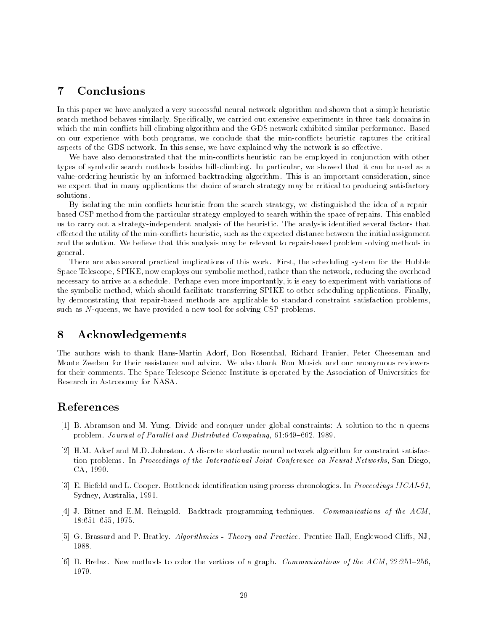### $\overline{7}$ Conclusions

In this paper we have analyzed a very successful neural network algorithm and shown that a simple heuristic search method behaves similarly. Specifically, we carried out extensive experiments in three task domains in which the min-conflicts hill-climbing algorithm and the GDS network exhibited similar performance. Based on our experience with both programs, we conclude that the min-conflicts heuristic captures the critical aspects of the GDS network. In this sense, we have explained why the network is so effective.

We have also demonstrated that the min-conflicts heuristic can be employed in conjunction with other types of symbolic search methods besides hill-climbing. In particular, we showed that it can be used as a value-ordering heuristic by an informed backtracking algorithm. This is an important consideration, since we expect that in many applications the choice of search strategy may be critical to producing satisfactory

By isolating the min-conflicts heuristic from the search strategy, we distinguished the idea of a repairbased CSP method from the particular strategy employed to search within the space of repairs This enabled us to carry out a strategy-independent analysis of the heuristic. The analysis identified several factors that effected the utility of the min-conflicts heuristic, such as the expected distance between the initial assignment and the solution. We believe that this analysis may be relevant to repair-based problem solving methods in general

There are also several practical implications of this work. First, the scheduling system for the Hubble Space Telescope, SPIKE, now employs our symbolic method, rather than the network, reducing the overhead necessary to arrive at a schedule Perhaps even more importantly it is easy to experiment with variations of the symbolic method, which should facilitate transferring SPIKE to other scheduling applications. Finally, by demonstrating that repair-based methods are applicable to standard constraint satisfaction problems, such as  $N$ -queens, we have provided a new tool for solving CSP problems.

### 8 Acknowledgements

The authors wish to thank Hans-Martin Adorf, Don Rosenthal, Richard Franier, Peter Cheeseman and Monte Zweben for their assistance and advice. We also thank Ron Musick and our anonymous reviewers for their comments The Space Telescope Science Institute is operated by the Association of Universities for Research in Astronomy for NASA

# References

- B Abramson and M Yung Divide and conquer under global constraints- A solution to the nqueens problem Journal of Paral lel and Distributed Computing -
- HM Adorf and MD Johnston A discrete stochastic neural network algorithm for constraint satisfac tion problems. In Proceedings of the International Joint Conference on Neural Networks, San Diego, CA, 1990.
- [3] E. Biefeld and L. Cooper. Bottleneck identification using process chronologies. In Proceedings IJCAI-91, Sydney, Australia, 1991.
- [4] J. Bitner and E.M. Reingold. Backtrack programming techniques. Communications of the ACM, experimental control of the control of the control of the control of the control of the control of the control of the control of the control of the control of the control of the control of the control of the control of the
- [5] G. Brassard and P. Bratley. Algorithmics Theory and Practice. Prentice Hall, Englewood Cliffs, NJ, 1988.
- D Brelaz New methods to color the vertices of a graph Communications of the ACM - 1979.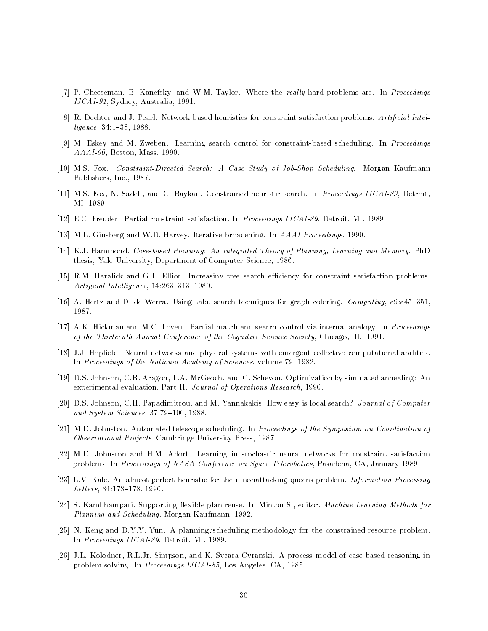- [7] P. Cheeseman, B. Kanefsky, and W.M. Taylor. Where the really hard problems are. In Proceedings IJCAI-91, Sydney, Australia, 1991.
- [8] R. Dechter and J. Pearl. Network-based heuristics for constraint satisfaction problems. Artificial Intelligence is a contract of the contract of the contract of the contract of the contract of the contract of the c
- [9] M. Eskey and M. Zweben. Learning search control for constraint-based scheduling. In Proceedings  $AAAI$  90, Boston, Mass, 1990.
- [10] M.S. Fox. Constraint-Directed Search: A Case Study of Job-Shop Scheduling. Morgan Kaufmann Publishers, Inc., 1987.
- , and constraint and constraint in Proceeding and Constraintent in Andrews II and a constraint in Proceeding I MI, 1989.
- EC Freuder Partial constraint satisfaction In Proceedings IJCAI Detroit MI
- [13] M.L. Ginsberg and W.D. Harvey. Iterative broadening. In AAAI Proceedings, 1990.
- [14] K.J. Hammond. Case-based Planning: An Integrated Theory of Planning, Learning and Memory. PhD thesis, Yale University, Department of Computer Science, 1986.
- [15] R.M. Haralick and G.L. Elliot. Increasing tree search efficiency for constraint satisfaction problems Articial Intel ligence 
-
- A Hertz and D de Werra Using tabu search techniques for graph coloring Computing 1987.
- [17] A.K. Hickman and M.C. Lovett. Partial match and search control via internal analogy. In Proceedings of the Thirteenth Annual Conference of the Cognitive Science Society, Chicago, Ill., 1991.
- [18] J.J. Hopfield. Neural networks and physical systems with emergent collective computational abilities. In Proceedings of the National Academy of Sciences volume
- DS Johnson CR Aragon LA McGeoch and C Schevon Optimization by simulated annealing- An experimental evaluation, Part II. Journal of Operations Research, 1990.
- DS Johnson CH Papadimitrou and M Yannakakis How easy is local search Journal of Computer and System System System System System System System System System System System System System System System System System System System System System System System System System System System System System System System S
- MD Johnston Automated telescope scheduling In Proceedings of the Symposium on Coordination of Observational Projects. Cambridge University Press, 1987.
- $\blacksquare$  Johnston and HM Adorf Learning in stochastic neural networks for constraint satisfactions for constraint satisfaction problems. In Proceedings of NASA Conference on Space Telerobotics, Pasadena, CA, January 1989.
- LV Kale An almost perfect heuristic for the n nonattacking queens problem Information Processing Letters 
-
- S Kambhampati Supporting exible plan reuse In Minton S editor Machine Learning Methods for Planning and Scheduling Morgan Kaufmann
- N Keng and DYY Yun A planning!scheduling methodology for the constrained resource problem In Proceedings III Canada and International Microsoft Microsoft Microsoft Microsoft Microsoft Microsoft Microsoft Microsoft Microsoft Microsoft Microsoft Microsoft Microsoft Microsoft Microsoft Microsoft Microsoft Microsof
- JL Kolodner RLJr Simpson and K SycaraCyranski A process model of casebased reasoning in problem solving In Proceedings IJCAI  Los Angeles CA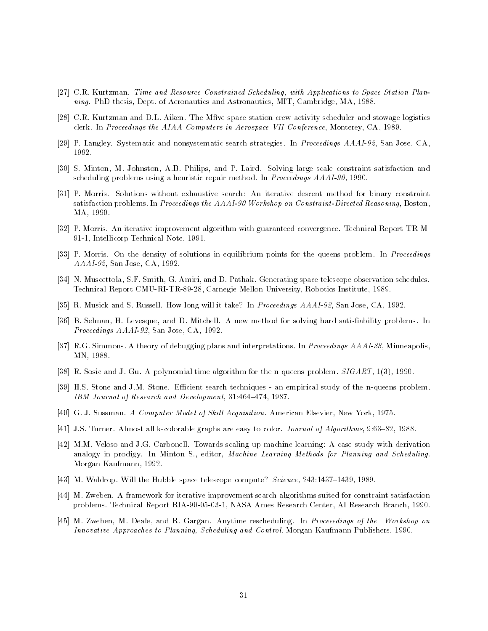- CR Kurtzman Time and Resource Constrained Scheduling with Applications to Space Station Plan ning. PhD thesis, Dept. of Aeronautics and Astronautics, MIT, Cambridge, MA, 1988.
- CR Kurtzman and DL Aiken The Mve space station crew activity scheduler and stowage logistics clerk. In Proceedings the AIAA Computers in Aerospace VII Conference, Monterey, CA, 1989.
- P Langley Systematic and nonsystematic search strategies In Proceedings AAAI
 San Jose CA
- [30] S. Minton, M. Johnston, A.B. Philips, and P. Laird. Solving large scale constraint satisfaction and scheduling problems using a heuristic repair method. In Proceedings  $AAAI-90$ , 1990.
- P Morris Solutions without exhaustive search- An iterative descent method for binary constraint satisfaction problems. In Proceedings the AAAI-90 Workshop on Constraint-Directed Reasoning, Boston, MA, 1990
- P Morris An iterative improvement algorithm with guaranteed convergence Technical Report TRM 91-1, Intellicorp Technical Note, 1991.
- [33] P. Morris. On the density of solutions in equilibrium points for the queens problem. In Proceedings AAAI
 San Jose CA
- [34] N. Muscettola, S.F. Smith, G. Amiri, and D. Pathak. Generating space telescope observation schedules. Technical Report CMURITR Carnegie Mellon University Robotics Institute
- R Musick and S Russell How long will it take In Proceedings AAAI
 San Jose CA
- [36] B. Selman, H. Levesque, and D. Mitchell. A new method for solving hard satisfiability problems. In Proceedings AAAI
 San Jose CA
- rg a theory of debug interpretations in the interpretations in Proceedings And in Proceedings Adaptement and the MN, 1988
- [38] R. Sosic and J. Gu. A polynomial time algorithm for the n-queens problem.  $SIGART$ , 1(3), 1990.
- [39] H.S. Stone and J.M. Stone. Efficient search techniques an empirical study of the n-queens problem. IBM Journal of Research and Development -
- [40] G. J. Sussman. A Computer Model of Skill Acquisition. American Elsevier, New York, 1975.
- JS Turner Almost all kcolorable graphs are easy to color Journal of Algorithms -
- MM Veloso and JG Carbonell Towards scaling up machine learning- A case study with derivation analogy in prodigy. In Minton S., editor, Machine Learning Methods for Planning and Scheduling. Morgan Kaufmann
- , and waldrop with the Hubble space the Hubble space telescope computer (  $\sim$  claimed and an analyze the set
- [44] M. Zweben. A framework for iterative improvement search algorithms suited for constraint satisfaction problems. Technical Report RIA-90-05-03-1, NASA Ames Research Center, AI Research Branch, 1990
- [45] M. Zweben, M. Deale, and R. Gargan. Anytime rescheduling. In Proceeedings of the Workshop on Innovative Approaches to Planning, Scheduling and Control. Morgan Kaufmann Publishers, 1990.